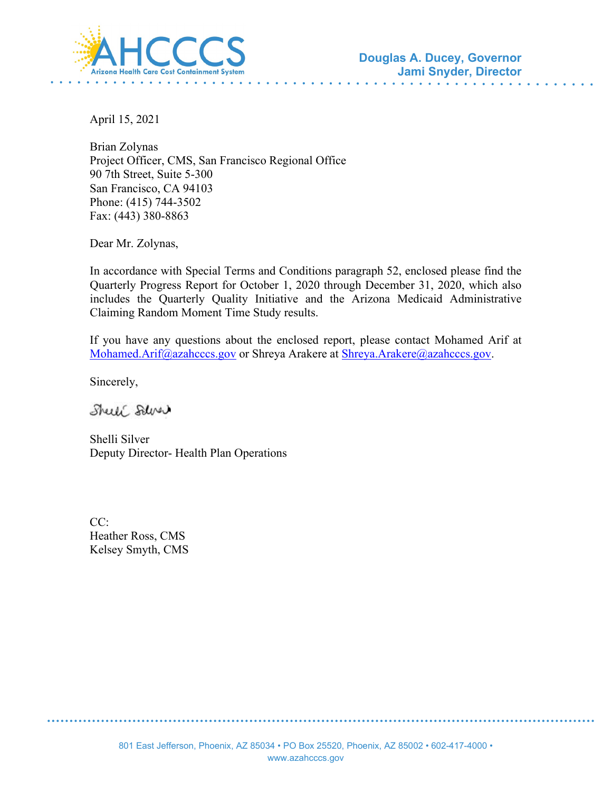

April 15, 2021

Brian Zolynas Project Officer, CMS, San Francisco Regional Office 90 7th Street, Suite 5-300 San Francisco, CA 94103 Phone: (415) 744-3502 Fax: (443) 380-8863

Dear Mr. Zolynas,

In accordance with Special Terms and Conditions paragraph 52, enclosed please find the Quarterly Progress Report for October 1, 2020 through December 31, 2020, which also includes the Quarterly Quality Initiative and the Arizona Medicaid Administrative Claiming Random Moment Time Study results.

If you have any questions about the enclosed report, please contact Mohamed Arif at [Mohamed.Arif@azahcccs.gov](mailto:Mohamed.Arif@azahcccs.gov) or Shreya Arakere at [Shreya.Arakere@azahcccs.gov.](mailto:Shreya.Arakere@azahcccs.gov)

Sincerely,

Shell Salver

Shelli Silver Deputy Director- Health Plan Operations

CC: Heather Ross, CMS Kelsey Smyth, CMS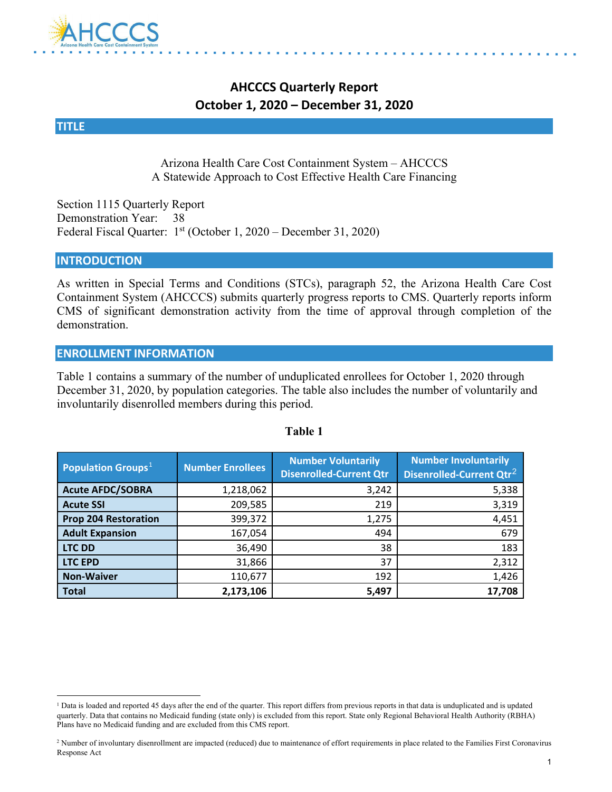

## **AHCCCS Quarterly Report October 1, 2020 – December 31, 2020**

#### **TITLE**

Arizona Health Care Cost Containment System – AHCCCS A Statewide Approach to Cost Effective Health Care Financing

Section 1115 Quarterly Report Demonstration Year: 38 Federal Fiscal Quarter: 1st (October 1, 2020 – December 31, 2020)

#### **INTRODUCTION**

As written in Special Terms and Conditions (STCs), paragraph 52, the Arizona Health Care Cost Containment System (AHCCCS) submits quarterly progress reports to CMS. Quarterly reports inform CMS of significant demonstration activity from the time of approval through completion of the demonstration.

#### **ENROLLMENT INFORMATION**

Table 1 contains a summary of the number of unduplicated enrollees for October 1, 2020 through December 31, 2020, by population categories. The table also includes the number of voluntarily and involuntarily disenrolled members during this period.

| <b>Population Groups</b> <sup>1</sup> | <b>Number Enrollees</b> | <b>Number Voluntarily</b><br><b>Disenrolled-Current Qtr</b> | <b>Number Involuntarily</b><br>Disenrolled-Current Qtr <sup>2</sup> |
|---------------------------------------|-------------------------|-------------------------------------------------------------|---------------------------------------------------------------------|
| <b>Acute AFDC/SOBRA</b>               | 1,218,062               | 3,242                                                       | 5,338                                                               |
| <b>Acute SSI</b>                      | 209,585                 | 219                                                         | 3,319                                                               |
| <b>Prop 204 Restoration</b>           | 399,372                 | 1,275                                                       | 4,451                                                               |
| <b>Adult Expansion</b>                | 167,054                 | 494                                                         | 679                                                                 |
| <b>LTC DD</b>                         | 36,490                  | 38                                                          | 183                                                                 |
| <b>LTC EPD</b>                        | 31,866                  | 37                                                          | 2,312                                                               |
| <b>Non-Waiver</b>                     | 110,677                 | 192                                                         | 1,426                                                               |
| <b>Total</b>                          | 2,173,106               | 5,497                                                       | 17,708                                                              |

#### **Table 1**

<span id="page-1-0"></span><sup>&</sup>lt;sup>1</sup> Data is loaded and reported 45 days after the end of the quarter. This report differs from previous reports in that data is unduplicated and is updated quarterly. Data that contains no Medicaid funding (state only) is excluded from this report. State only Regional Behavioral Health Authority (RBHA) Plans have no Medicaid funding and are excluded from this CMS report.

<span id="page-1-1"></span><sup>&</sup>lt;sup>2</sup> Number of involuntary disenrollment are impacted (reduced) due to maintenance of effort requirements in place related to the Families First Coronavirus Response Act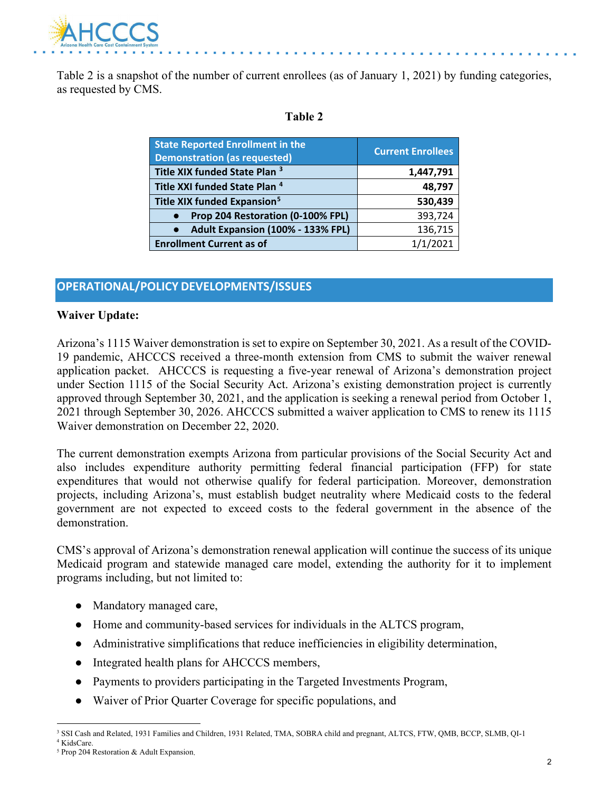

Table 2 is a snapshot of the number of current enrollees (as of January 1, 2021) by funding categories, as requested by CMS.

#### **Table 2**

| <b>State Reported Enrollment in the</b><br><b>Demonstration (as requested)</b> | <b>Current Enrollees</b> |
|--------------------------------------------------------------------------------|--------------------------|
| Title XIX funded State Plan <sup>3</sup>                                       | 1,447,791                |
| Title XXI funded State Plan <sup>4</sup>                                       | 48,797                   |
| Title XIX funded Expansion <sup>5</sup>                                        | 530,439                  |
| Prop 204 Restoration (0-100% FPL)                                              | 393,724                  |
| Adult Expansion (100% - 133% FPL)                                              | 136,715                  |
| <b>Enrollment Current as of</b>                                                | 1/1/2021                 |

#### **OPERATIONAL/POLICY DEVELOPMENTS/ISSUES**

#### **Waiver Update:**

Arizona's 1115 Waiver demonstration is set to expire on September 30, 2021. As a result of the COVID-19 pandemic, AHCCCS received a three-month extension from CMS to submit the waiver renewal application packet. AHCCCS is requesting a five-year renewal of Arizona's demonstration project under Section 1115 of the Social Security Act. Arizona's existing demonstration project is currently approved through September 30, 2021, and the application is seeking a renewal period from October 1, 2021 through September 30, 2026. AHCCCS submitted a waiver application to CMS to renew its 1115 Waiver demonstration on December 22, 2020.

The current demonstration exempts Arizona from particular provisions of the Social Security Act and also includes expenditure authority permitting federal financial participation (FFP) for state expenditures that would not otherwise qualify for federal participation. Moreover, demonstration projects, including Arizona's, must establish budget neutrality where Medicaid costs to the federal government are not expected to exceed costs to the federal government in the absence of the demonstration.

CMS's approval of Arizona's demonstration renewal application will continue the success of its unique Medicaid program and statewide managed care model, extending the authority for it to implement programs including, but not limited to:

- Mandatory managed care,
- Home and community-based services for individuals in the ALTCS program,
- Administrative simplifications that reduce inefficiencies in eligibility determination,
- Integrated health plans for AHCCCS members,
- Payments to providers participating in the Targeted Investments Program,
- Waiver of Prior Quarter Coverage for specific populations, and

<span id="page-2-0"></span><sup>3</sup> SSI Cash and Related, 1931 Families and Children, 1931 Related, TMA, SOBRA child and pregnant, ALTCS, FTW, QMB, BCCP, SLMB, QI-1 <sup>4</sup> KidsCare.

<span id="page-2-2"></span><span id="page-2-1"></span><sup>5</sup> Prop 204 Restoration & Adult Expansion.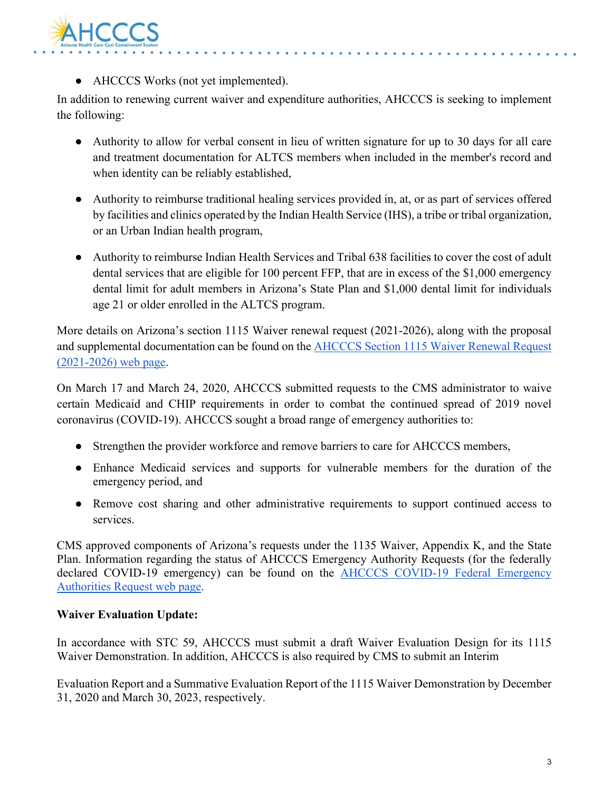

• AHCCCS Works (not yet implemented).

In addition to renewing current waiver and expenditure authorities, AHCCCS is seeking to implement the following:

- Authority to allow for verbal consent in lieu of written signature for up to 30 days for all care and treatment documentation for ALTCS members when included in the member's record and when identity can be reliably established,
- Authority to reimburse traditional healing services provided in, at, or as part of services offered by facilities and clinics operated by the Indian Health Service (IHS), a tribe or tribal organization, or an Urban Indian health program,
- Authority to reimburse Indian Health Services and Tribal 638 facilities to cover the cost of adult dental services that are eligible for 100 percent FFP, that are in excess of the \$1,000 emergency dental limit for adult members in Arizona's State Plan and \$1,000 dental limit for individuals age 21 or older enrolled in the ALTCS program.

More details on Arizona's section 1115 Waiver renewal request (2021-2026), along with the proposal and supplemental documentation can be found on the **AHCCCS** Section 1115 Waiver Renewal Request [\(2021-2026\) web page.](https://azahcccs.gov/Resources/Federal/waiverrenewalrequest.html)

On March 17 and March 24, 2020, AHCCCS submitted requests to the CMS administrator to waive certain Medicaid and CHIP requirements in order to combat the continued spread of 2019 novel coronavirus (COVID-19). AHCCCS sought a broad range of emergency authorities to:

- Strengthen the provider workforce and remove barriers to care for AHCCCS members,
- Enhance Medicaid services and supports for vulnerable members for the duration of the emergency period, and
- Remove cost sharing and other administrative requirements to support continued access to services.

CMS approved components of Arizona's requests under the 1135 Waiver, Appendix K, and the State Plan. Information regarding the status of AHCCCS Emergency Authority Requests (for the federally declared COVID-19 emergency) can be found on the [AHCCCS COVID-19 Federal Emergency](https://azahcccs.gov/Resources/Federal/PendingWaivers/1135.html)  [Authorities Request web page.](https://azahcccs.gov/Resources/Federal/PendingWaivers/1135.html)

#### **Waiver Evaluation Update:**

In accordance with STC 59, AHCCCS must submit a draft Waiver Evaluation Design for its 1115 Waiver Demonstration. In addition, AHCCCS is also required by CMS to submit an Interim

Evaluation Report and a Summative Evaluation Report of the 1115 Waiver Demonstration by December 31, 2020 and March 30, 2023, respectively.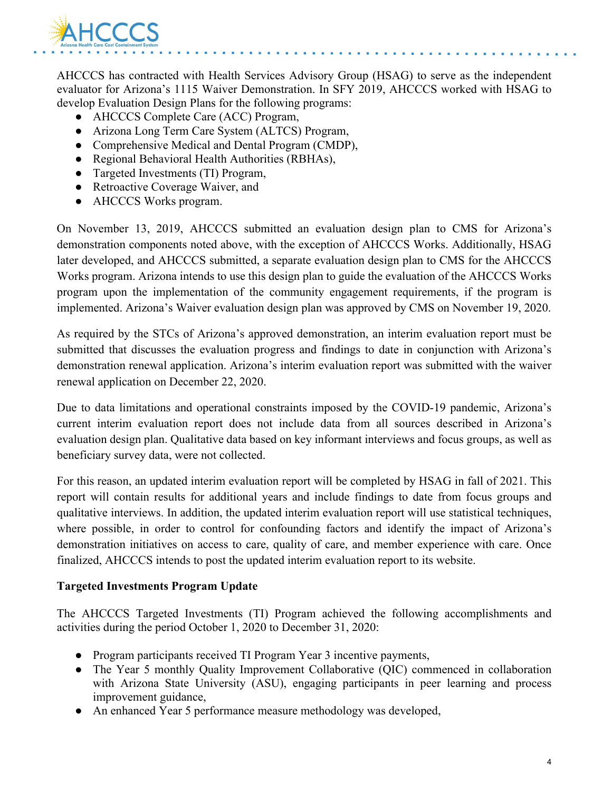

AHCCCS has contracted with Health Services Advisory Group (HSAG) to serve as the independent evaluator for Arizona's 1115 Waiver Demonstration. In SFY 2019, AHCCCS worked with HSAG to develop Evaluation Design Plans for the following programs:

- AHCCCS Complete Care (ACC) Program,
- Arizona Long Term Care System (ALTCS) Program,
- Comprehensive Medical and Dental Program (CMDP),
- Regional Behavioral Health Authorities (RBHAs),
- Targeted Investments (TI) Program,
- Retroactive Coverage Waiver, and
- AHCCCS Works program.

On November 13, 2019, AHCCCS submitted an evaluation design plan to CMS for Arizona's demonstration components noted above, with the exception of AHCCCS Works. Additionally, HSAG later developed, and AHCCCS submitted, a separate evaluation design plan to CMS for the AHCCCS Works program. Arizona intends to use this design plan to guide the evaluation of the AHCCCS Works program upon the implementation of the community engagement requirements, if the program is implemented. Arizona's Waiver evaluation design plan was approved by CMS on November 19, 2020.

As required by the STCs of Arizona's approved demonstration, an interim evaluation report must be submitted that discusses the evaluation progress and findings to date in conjunction with Arizona's demonstration renewal application. Arizona's interim evaluation report was submitted with the waiver renewal application on December 22, 2020.

Due to data limitations and operational constraints imposed by the COVID-19 pandemic, Arizona's current interim evaluation report does not include data from all sources described in Arizona's evaluation design plan. Qualitative data based on key informant interviews and focus groups, as well as beneficiary survey data, were not collected.

For this reason, an updated interim evaluation report will be completed by HSAG in fall of 2021. This report will contain results for additional years and include findings to date from focus groups and qualitative interviews. In addition, the updated interim evaluation report will use statistical techniques, where possible, in order to control for confounding factors and identify the impact of Arizona's demonstration initiatives on access to care, quality of care, and member experience with care. Once finalized, AHCCCS intends to post the updated interim evaluation report to its website.

#### **Targeted Investments Program Update**

The AHCCCS Targeted Investments (TI) Program achieved the following accomplishments and activities during the period October 1, 2020 to December 31, 2020:

- Program participants received TI Program Year 3 incentive payments,
- The Year 5 monthly Quality Improvement Collaborative (QIC) commenced in collaboration with Arizona State University (ASU), engaging participants in peer learning and process improvement guidance,
- An enhanced Year 5 performance measure methodology was developed,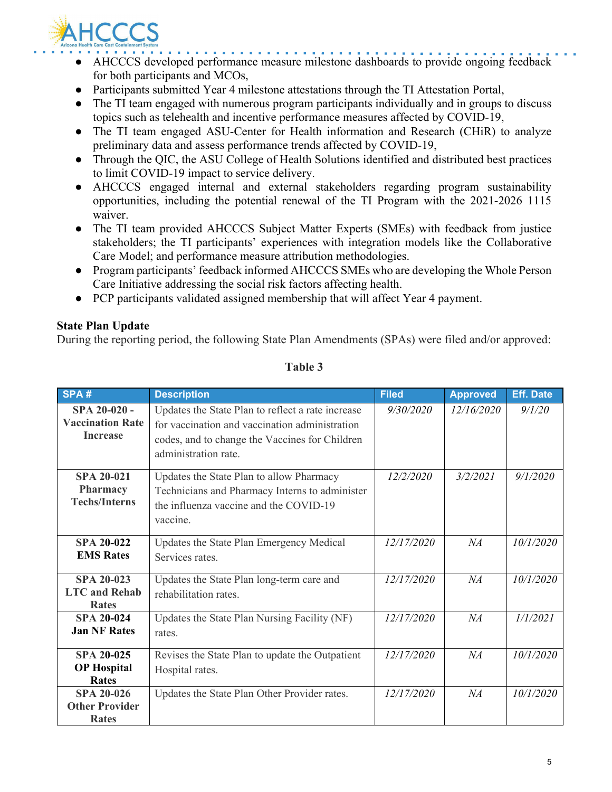

- AHCCCS developed performance measure milestone dashboards to provide ongoing feedback for both participants and MCOs,
- Participants submitted Year 4 milestone attestations through the TI Attestation Portal,
- The TI team engaged with numerous program participants individually and in groups to discuss topics such as telehealth and incentive performance measures affected by COVID-19,
- The TI team engaged ASU-Center for Health information and Research (CHiR) to analyze preliminary data and assess performance trends affected by COVID-19,
- Through the QIC, the ASU College of Health Solutions identified and distributed best practices to limit COVID-19 impact to service delivery.
- AHCCCS engaged internal and external stakeholders regarding program sustainability opportunities, including the potential renewal of the TI Program with the 2021-2026 1115 waiver.
- The TI team provided AHCCCS Subject Matter Experts (SMEs) with feedback from justice stakeholders; the TI participants' experiences with integration models like the Collaborative Care Model; and performance measure attribution methodologies.
- Program participants' feedback informed AHCCCS SMEs who are developing the Whole Person Care Initiative addressing the social risk factors affecting health.
- PCP participants validated assigned membership that will affect Year 4 payment.

#### **State Plan Update**

During the reporting period, the following State Plan Amendments (SPAs) were filed and/or approved:

| SPA#                                                         | <b>Description</b>                                                                                                                                                            | <b>Filed</b> | <b>Approved</b> | <b>Eff. Date</b> |
|--------------------------------------------------------------|-------------------------------------------------------------------------------------------------------------------------------------------------------------------------------|--------------|-----------------|------------------|
| SPA 20-020 -<br><b>Vaccination Rate</b><br><b>Increase</b>   | Updates the State Plan to reflect a rate increase<br>for vaccination and vaccination administration<br>codes, and to change the Vaccines for Children<br>administration rate. | 9/30/2020    | 12/16/2020      | 9/1/20           |
| <b>SPA 20-021</b><br><b>Pharmacy</b><br><b>Techs/Interns</b> | Updates the State Plan to allow Pharmacy<br>Technicians and Pharmacy Interns to administer<br>the influenza vaccine and the COVID-19<br>vaccine.                              | 12/2/2020    | 3/2/2021        | 9/1/2020         |
| <b>SPA 20-022</b><br><b>EMS</b> Rates                        | Updates the State Plan Emergency Medical<br>Services rates.                                                                                                                   | 12/17/2020   | NA              | 10/1/2020        |
| <b>SPA 20-023</b><br><b>LTC</b> and Rehab<br><b>Rates</b>    | Updates the State Plan long-term care and<br>rehabilitation rates.                                                                                                            | 12/17/2020   | NA              | 10/1/2020        |
| <b>SPA 20-024</b><br><b>Jan NF Rates</b>                     | Updates the State Plan Nursing Facility (NF)<br>rates.                                                                                                                        | 12/17/2020   | NA              | 1/1/2021         |
| <b>SPA 20-025</b><br><b>OP</b> Hospital<br><b>Rates</b>      | Revises the State Plan to update the Outpatient<br>Hospital rates.                                                                                                            | 12/17/2020   | NA              | 10/1/2020        |
| <b>SPA 20-026</b><br><b>Other Provider</b><br>Rates          | Updates the State Plan Other Provider rates.                                                                                                                                  | 12/17/2020   | NA              | 10/1/2020        |

#### **Table 3**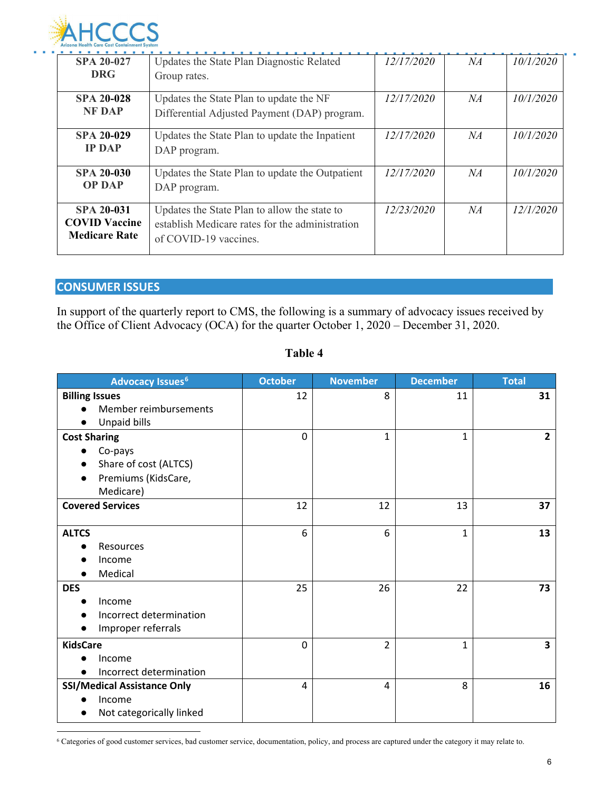

| .                    | .                                               |                   |    |           |
|----------------------|-------------------------------------------------|-------------------|----|-----------|
| <b>SPA 20-027</b>    | Updates the State Plan Diagnostic Related       | 12/17/2020        | NA | 10/1/2020 |
| <b>DRG</b>           | Group rates.                                    |                   |    |           |
|                      |                                                 |                   |    |           |
| <b>SPA 20-028</b>    | Updates the State Plan to update the NF         | <i>12/17/2020</i> | NA | 10/1/2020 |
| <b>NF DAP</b>        | Differential Adjusted Payment (DAP) program.    |                   |    |           |
| <b>SPA 20-029</b>    | Updates the State Plan to update the Inpatient  | 12/17/2020        | NA | 10/1/2020 |
| <b>IP DAP</b>        | DAP program.                                    |                   |    |           |
| <b>SPA 20-030</b>    | Updates the State Plan to update the Outpatient | 12/17/2020        | NA | 10/1/2020 |
| <b>OP DAP</b>        | DAP program.                                    |                   |    |           |
| <b>SPA 20-031</b>    | Updates the State Plan to allow the state to    | 12/23/2020        | NA | 12/1/2020 |
| <b>COVID Vaccine</b> | establish Medicare rates for the administration |                   |    |           |
| <b>Medicare Rate</b> | of COVID-19 vaccines.                           |                   |    |           |
|                      |                                                 |                   |    |           |

#### **CONSUMER ISSUES**

In support of the quarterly report to CMS, the following is a summary of advocacy issues received by the Office of Client Advocacy (OCA) for the quarter October 1, 2020 – December 31, 2020.

| <b>Advocacy Issues<sup>6</sup></b>                                       | <b>October</b> | <b>November</b> | <b>December</b> | <b>Total</b>   |
|--------------------------------------------------------------------------|----------------|-----------------|-----------------|----------------|
| <b>Billing Issues</b><br>Member reimbursements                           | 12             | 8               | 11              | 31             |
| Unpaid bills<br>$\bullet$<br><b>Cost Sharing</b>                         | $\Omega$       | 1               | $\mathbf{1}$    | $\overline{2}$ |
| Co-pays<br>Share of cost (ALTCS)<br>Premiums (KidsCare,<br>Medicare)     |                |                 |                 |                |
| <b>Covered Services</b>                                                  | 12             | 12              | 13              | 37             |
| <b>ALTCS</b><br><b>Resources</b><br>Income<br>Medical                    | 6              | 6               | $\mathbf{1}$    | 13             |
| <b>DES</b><br>Income<br>Incorrect determination<br>Improper referrals    | 25             | 26              | 22              | 73             |
| <b>KidsCare</b><br>Income<br>Incorrect determination                     | $\Omega$       | 2               | $\mathbf{1}$    | 3              |
| <b>SSI/Medical Assistance Only</b><br>Income<br>Not categorically linked | 4              | 4               | 8               | 16             |

#### **Table 4**

<span id="page-6-0"></span><sup>6</sup> Categories of good customer services, bad customer service, documentation, policy, and process are captured under the category it may relate to.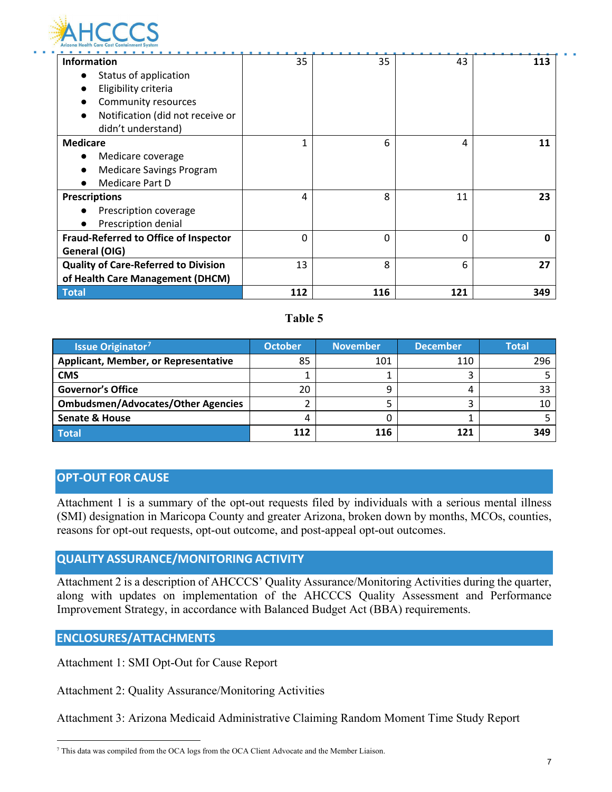

| <b>Information</b>                          | 35           | 35       | 43       | 113 |
|---------------------------------------------|--------------|----------|----------|-----|
| Status of application                       |              |          |          |     |
| Eligibility criteria                        |              |          |          |     |
| Community resources                         |              |          |          |     |
| Notification (did not receive or            |              |          |          |     |
| didn't understand)                          |              |          |          |     |
| <b>Medicare</b>                             | $\mathbf{1}$ | 6        | 4        | 11  |
| Medicare coverage                           |              |          |          |     |
| <b>Medicare Savings Program</b>             |              |          |          |     |
| <b>Medicare Part D</b>                      |              |          |          |     |
| <b>Prescriptions</b>                        | 4            | 8        | 11       | 23  |
| Prescription coverage                       |              |          |          |     |
| Prescription denial                         |              |          |          |     |
| Fraud-Referred to Office of Inspector       | $\Omega$     | $\Omega$ | $\Omega$ | 0   |
| General (OIG)                               |              |          |          |     |
| <b>Quality of Care-Referred to Division</b> | 13           | 8        | 6        | 27  |
| of Health Care Management (DHCM)            |              |          |          |     |
| <b>Total</b>                                | 112          | 116      | 121      | 349 |

#### **Table 5**

| <b>Issue Originator<sup>7</sup></b>         | <b>October</b> | <b>November</b> | <b>December</b> | <b>Total</b> |
|---------------------------------------------|----------------|-----------------|-----------------|--------------|
| <b>Applicant, Member, or Representative</b> | 85             | 101             | 110             | 296          |
| <b>CMS</b>                                  |                |                 |                 |              |
| <b>Governor's Office</b>                    | 20             | q               |                 | 33           |
| <b>Ombudsmen/Advocates/Other Agencies</b>   |                |                 |                 |              |
| <b>Senate &amp; House</b>                   |                |                 |                 |              |
| Total                                       | 112            | 116             |                 | 349          |

#### **OPT-OUT FOR CAUSE**

Attachment 1 is a summary of the opt-out requests filed by individuals with a serious mental illness (SMI) designation in Maricopa County and greater Arizona, broken down by months, MCOs, counties, reasons for opt-out requests, opt-out outcome, and post-appeal opt-out outcomes.

#### **QUALITY ASSURANCE/MONITORING ACTIVITY**

Attachment 2 is a description of AHCCCS' Quality Assurance/Monitoring Activities during the quarter, along with updates on implementation of the AHCCCS Quality Assessment and Performance Improvement Strategy, in accordance with Balanced Budget Act (BBA) requirements.

#### **ENCLOSURES/ATTACHMENTS**

Attachment 1: SMI Opt-Out for Cause Report

Attachment 2: Quality Assurance/Monitoring Activities

Attachment 3: Arizona Medicaid Administrative Claiming Random Moment Time Study Report

<span id="page-7-0"></span><sup>7</sup> This data was compiled from the OCA logs from the OCA Client Advocate and the Member Liaison.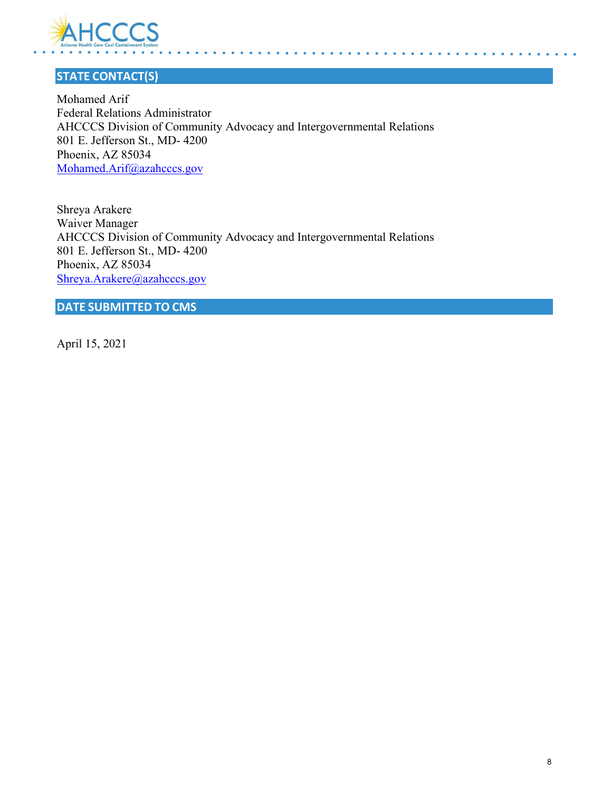

## **STATE CONTACT(S)**

Mohamed Arif Federal Relations Administrator AHCCCS Division of Community Advocacy and Intergovernmental Relations 801 E. Jefferson St., MD- 4200 Phoenix, AZ 85034 [Mohamed.Arif@azahcccs.gov](mailto:Mohamed.Arif@azahcccs.gov)

Shreya Arakere Waiver Manager AHCCCS Division of Community Advocacy and Intergovernmental Relations 801 E. Jefferson St., MD- 4200 Phoenix, AZ 85034 [Shreya.Arakere@azahcccs.gov](mailto:Shreya.Arakere@azahcccs.gov)

**DATE SUBMITTED TO CMS**

April 15, 2021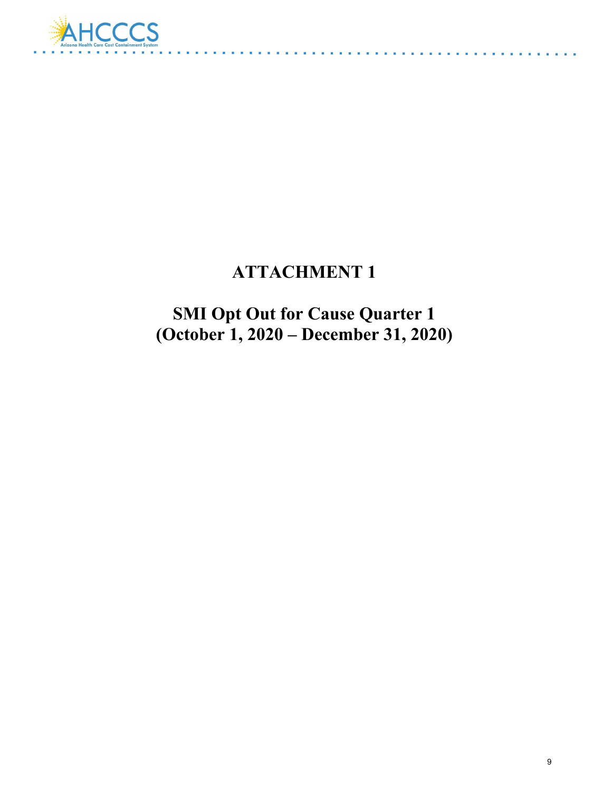

# **ATTACHMENT 1**

<u>a sa sala sa</u>

**SMI Opt Out for Cause Quarter 1 (October 1, 2020 – December 31, 2020)**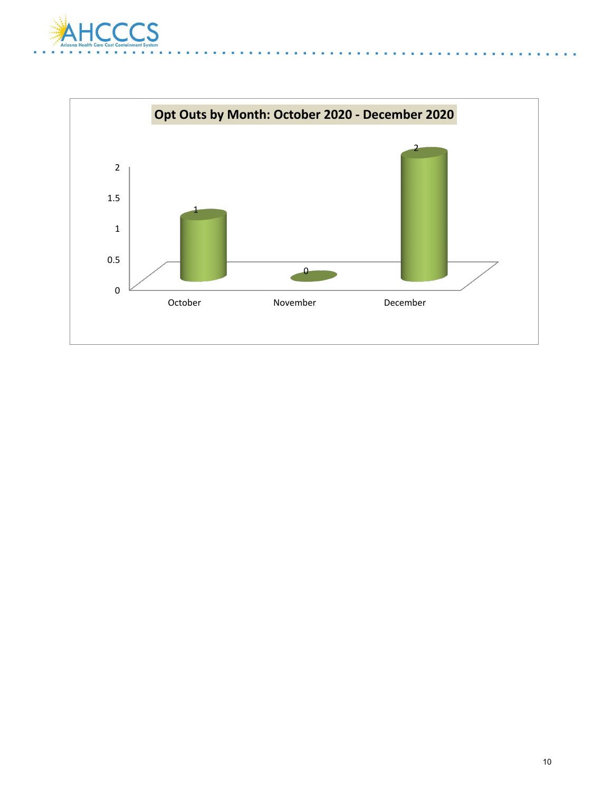

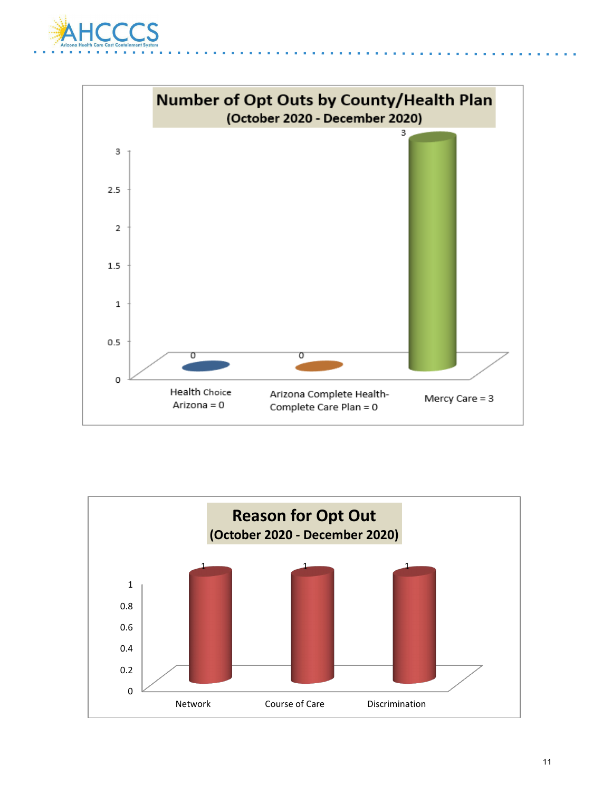



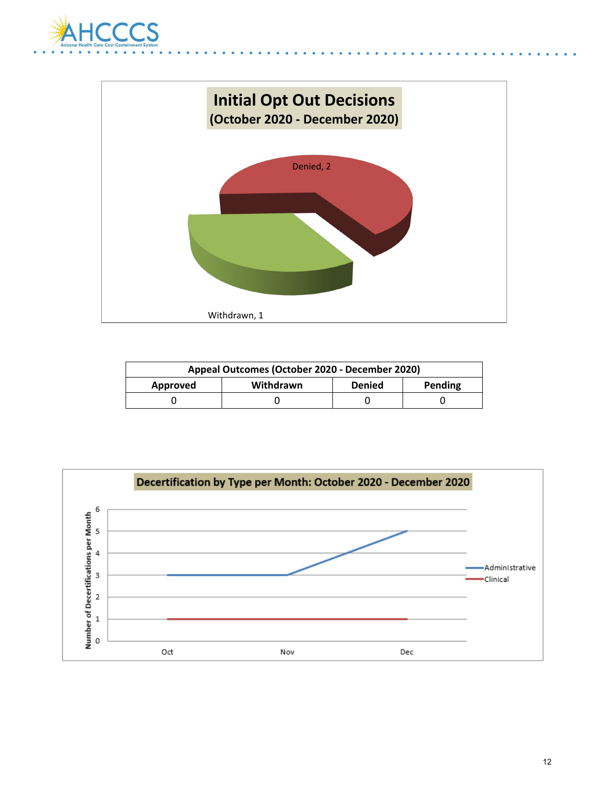



| Appeal Outcomes (October 2020 - December 2020)    |  |  |  |
|---------------------------------------------------|--|--|--|
| Pending<br>Withdrawn<br><b>Denied</b><br>Approved |  |  |  |
|                                                   |  |  |  |

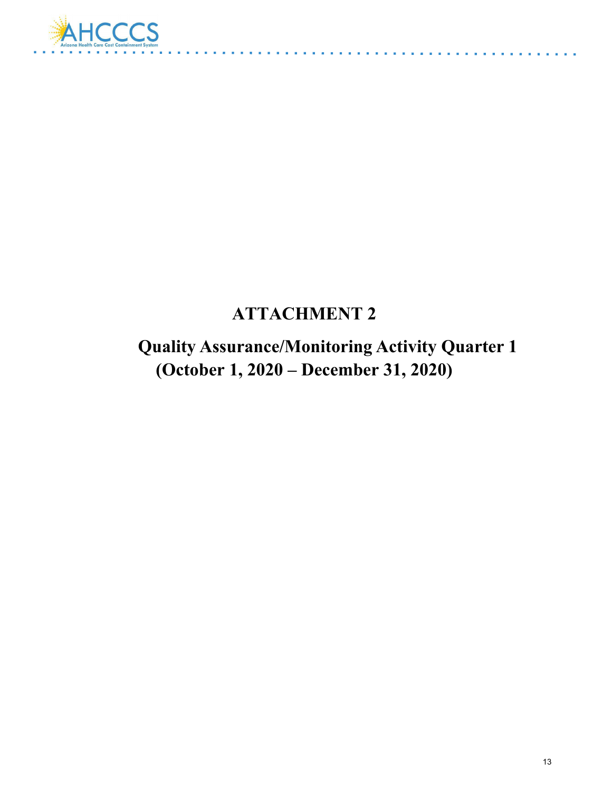

# **ATTACHMENT 2**

 **Quality Assurance/Monitoring Activity Quarter 1 (October 1, 2020 – December 31, 2020)**

a sa sala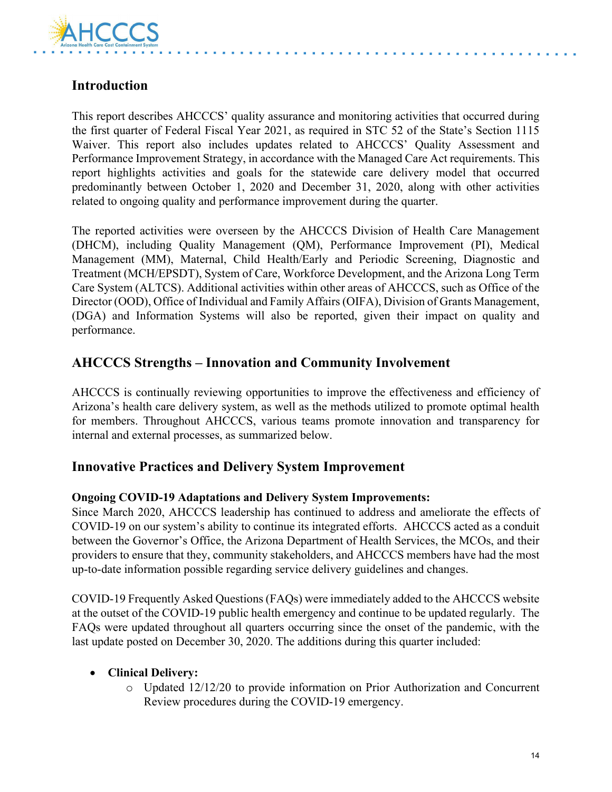

## **Introduction**

This report describes AHCCCS' quality assurance and monitoring activities that occurred during the first quarter of Federal Fiscal Year 2021, as required in STC 52 of the State's Section 1115 Waiver. This report also includes updates related to AHCCCS' Quality Assessment and Performance Improvement Strategy, in accordance with the Managed Care Act requirements. This report highlights activities and goals for the statewide care delivery model that occurred predominantly between October 1, 2020 and December 31, 2020, along with other activities related to ongoing quality and performance improvement during the quarter.

The reported activities were overseen by the AHCCCS Division of Health Care Management (DHCM), including Quality Management (QM), Performance Improvement (PI), Medical Management (MM), Maternal, Child Health/Early and Periodic Screening, Diagnostic and Treatment (MCH/EPSDT), System of Care, Workforce Development, and the Arizona Long Term Care System (ALTCS). Additional activities within other areas of AHCCCS, such as Office of the Director (OOD), Office of Individual and Family Affairs (OIFA), Division of Grants Management, (DGA) and Information Systems will also be reported, given their impact on quality and performance.

## **AHCCCS Strengths – Innovation and Community Involvement**

AHCCCS is continually reviewing opportunities to improve the effectiveness and efficiency of Arizona's health care delivery system, as well as the methods utilized to promote optimal health for members. Throughout AHCCCS, various teams promote innovation and transparency for internal and external processes, as summarized below.

### **Innovative Practices and Delivery System Improvement**

#### **Ongoing COVID-19 Adaptations and Delivery System Improvements:**

Since March 2020, AHCCCS leadership has continued to address and ameliorate the effects of COVID-19 on our system's ability to continue its integrated efforts. AHCCCS acted as a conduit between the Governor's Office, the Arizona Department of Health Services, the MCOs, and their providers to ensure that they, community stakeholders, and AHCCCS members have had the most up-to-date information possible regarding service delivery guidelines and changes.

COVID-19 Frequently Asked Questions (FAQs) were immediately added to the AHCCCS website at the outset of the COVID-19 public health emergency and continue to be updated regularly. The FAQs were updated throughout all quarters occurring since the onset of the pandemic, with the last update posted on December 30, 2020. The additions during this quarter included:

#### • **Clinical Delivery:**

o Updated 12/12/20 to provide information on Prior Authorization and Concurrent Review procedures during the COVID-19 emergency.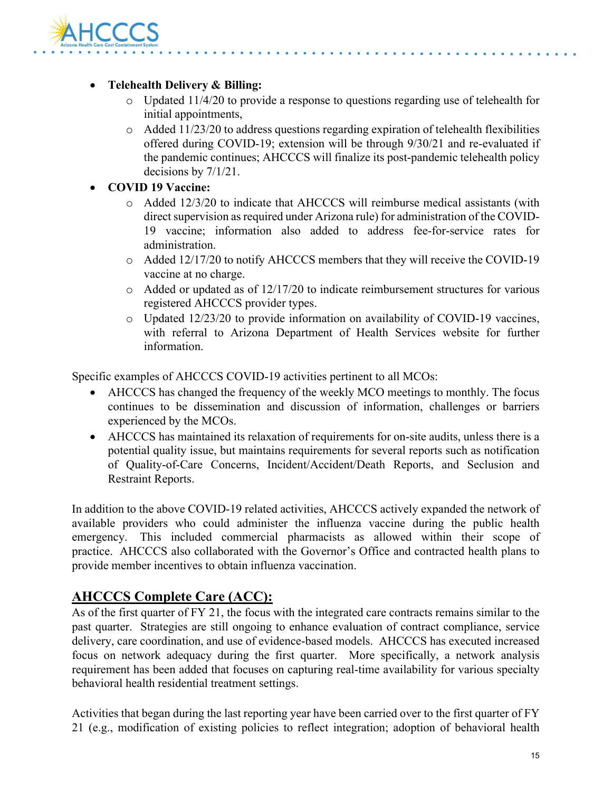

#### • **Telehealth Delivery & Billing:**

- o Updated 11/4/20 to provide a response to questions regarding use of telehealth for initial appointments,
- o Added 11/23/20 to address questions regarding expiration of telehealth flexibilities offered during COVID-19; extension will be through 9/30/21 and re-evaluated if the pandemic continues; AHCCCS will finalize its post-pandemic telehealth policy decisions by 7/1/21.

#### • **COVID 19 Vaccine:**

- o Added 12/3/20 to indicate that AHCCCS will reimburse medical assistants (with direct supervision as required under Arizona rule) for administration of the COVID-19 vaccine; information also added to address fee-for-service rates for administration.
- o Added 12/17/20 to notify AHCCCS members that they will receive the COVID-19 vaccine at no charge.
- o Added or updated as of 12/17/20 to indicate reimbursement structures for various registered AHCCCS provider types.
- o Updated 12/23/20 to provide information on availability of COVID-19 vaccines, with referral to Arizona Department of Health Services website for further information.

Specific examples of AHCCCS COVID-19 activities pertinent to all MCOs:

- AHCCCS has changed the frequency of the weekly MCO meetings to monthly. The focus continues to be dissemination and discussion of information, challenges or barriers experienced by the MCOs.
- AHCCCS has maintained its relaxation of requirements for on-site audits, unless there is a potential quality issue, but maintains requirements for several reports such as notification of Quality-of-Care Concerns, Incident/Accident/Death Reports, and Seclusion and Restraint Reports.

In addition to the above COVID-19 related activities, AHCCCS actively expanded the network of available providers who could administer the influenza vaccine during the public health emergency. This included commercial pharmacists as allowed within their scope of practice. AHCCCS also collaborated with the Governor's Office and contracted health plans to provide member incentives to obtain influenza vaccination.

## **AHCCCS Complete Care (ACC):**

As of the first quarter of FY 21, the focus with the integrated care contracts remains similar to the past quarter. Strategies are still ongoing to enhance evaluation of contract compliance, service delivery, care coordination, and use of evidence-based models. AHCCCS has executed increased focus on network adequacy during the first quarter. More specifically, a network analysis requirement has been added that focuses on capturing real-time availability for various specialty behavioral health residential treatment settings.

Activities that began during the last reporting year have been carried over to the first quarter of FY 21 (e.g., modification of existing policies to reflect integration; adoption of behavioral health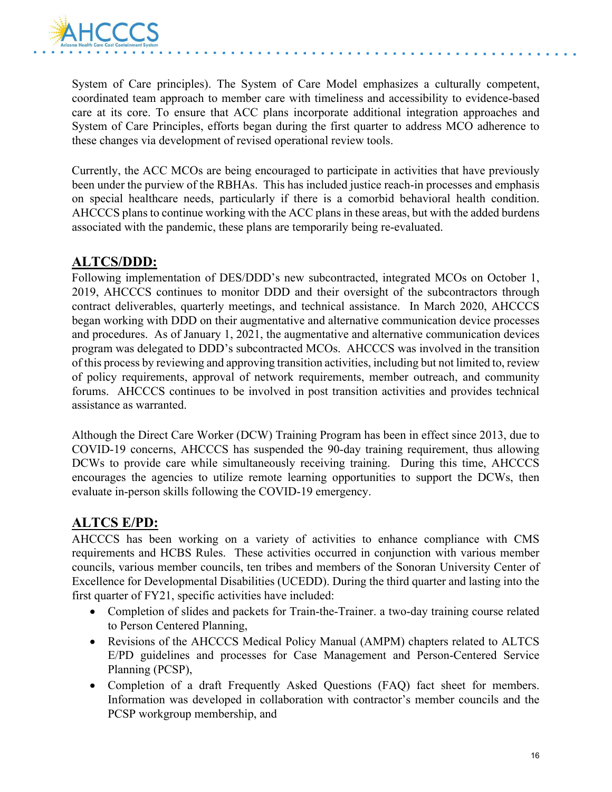

System of Care principles). The System of Care Model emphasizes a culturally competent, coordinated team approach to member care with timeliness and accessibility to evidence-based care at its core. To ensure that ACC plans incorporate additional integration approaches and System of Care Principles, efforts began during the first quarter to address MCO adherence to these changes via development of revised operational review tools.

Currently, the ACC MCOs are being encouraged to participate in activities that have previously been under the purview of the RBHAs. This has included justice reach-in processes and emphasis on special healthcare needs, particularly if there is a comorbid behavioral health condition. AHCCCS plans to continue working with the ACC plans in these areas, but with the added burdens associated with the pandemic, these plans are temporarily being re-evaluated.

## **ALTCS/DDD:**

Following implementation of DES/DDD's new subcontracted, integrated MCOs on October 1, 2019, AHCCCS continues to monitor DDD and their oversight of the subcontractors through contract deliverables, quarterly meetings, and technical assistance. In March 2020, AHCCCS began working with DDD on their augmentative and alternative communication device processes and procedures. As of January 1, 2021, the augmentative and alternative communication devices program was delegated to DDD's subcontracted MCOs. AHCCCS was involved in the transition of this process by reviewing and approving transition activities, including but not limited to, review of policy requirements, approval of network requirements, member outreach, and community forums. AHCCCS continues to be involved in post transition activities and provides technical assistance as warranted.

Although the Direct Care Worker (DCW) Training Program has been in effect since 2013, due to COVID-19 concerns, AHCCCS has suspended the 90-day training requirement, thus allowing DCWs to provide care while simultaneously receiving training. During this time, AHCCCS encourages the agencies to utilize remote learning opportunities to support the DCWs, then evaluate in-person skills following the COVID-19 emergency.

## **ALTCS E/PD:**

AHCCCS has been working on a variety of activities to enhance compliance with CMS requirements and HCBS Rules. These activities occurred in conjunction with various member councils, various member councils, ten tribes and members of the Sonoran University Center of Excellence for Developmental Disabilities (UCEDD). During the third quarter and lasting into the first quarter of FY21, specific activities have included:

- Completion of slides and packets for Train-the-Trainer. a two-day training course related to Person Centered Planning,
- Revisions of the AHCCCS Medical Policy Manual (AMPM) chapters related to ALTCS E/PD guidelines and processes for Case Management and Person-Centered Service Planning (PCSP),
- Completion of a draft Frequently Asked Questions (FAQ) fact sheet for members. Information was developed in collaboration with contractor's member councils and the PCSP workgroup membership, and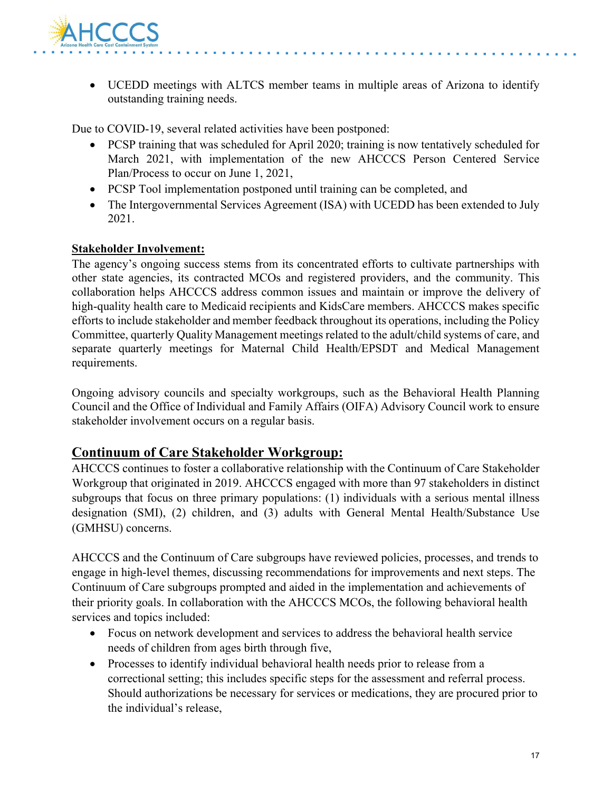

• UCEDD meetings with ALTCS member teams in multiple areas of Arizona to identify outstanding training needs.

Due to COVID-19, several related activities have been postponed:

- PCSP training that was scheduled for April 2020; training is now tentatively scheduled for March 2021, with implementation of the new AHCCCS Person Centered Service Plan/Process to occur on June 1, 2021,
- PCSP Tool implementation postponed until training can be completed, and
- The Intergovernmental Services Agreement (ISA) with UCEDD has been extended to July 2021.

#### **Stakeholder Involvement:**

The agency's ongoing success stems from its concentrated efforts to cultivate partnerships with other state agencies, its contracted MCOs and registered providers, and the community. This collaboration helps AHCCCS address common issues and maintain or improve the delivery of high-quality health care to Medicaid recipients and KidsCare members. AHCCCS makes specific efforts to include stakeholder and member feedback throughout its operations, including the Policy Committee, quarterly Quality Management meetings related to the adult/child systems of care, and separate quarterly meetings for Maternal Child Health/EPSDT and Medical Management requirements.

Ongoing advisory councils and specialty workgroups, such as the Behavioral Health Planning Council and the Office of Individual and Family Affairs (OIFA) Advisory Council work to ensure stakeholder involvement occurs on a regular basis.

### **Continuum of Care Stakeholder Workgroup:**

AHCCCS continues to foster a collaborative relationship with the Continuum of Care Stakeholder Workgroup that originated in 2019. AHCCCS engaged with more than 97 stakeholders in distinct subgroups that focus on three primary populations: (1) individuals with a serious mental illness designation (SMI), (2) children, and (3) adults with General Mental Health/Substance Use (GMHSU) concerns.

AHCCCS and the Continuum of Care subgroups have reviewed policies, processes, and trends to engage in high-level themes, discussing recommendations for improvements and next steps. The Continuum of Care subgroups prompted and aided in the implementation and achievements of their priority goals. In collaboration with the AHCCCS MCOs, the following behavioral health services and topics included:

- Focus on network development and services to address the behavioral health service needs of children from ages birth through five,
- Processes to identify individual behavioral health needs prior to release from a correctional setting; this includes specific steps for the assessment and referral process. Should authorizations be necessary for services or medications, they are procured prior to the individual's release,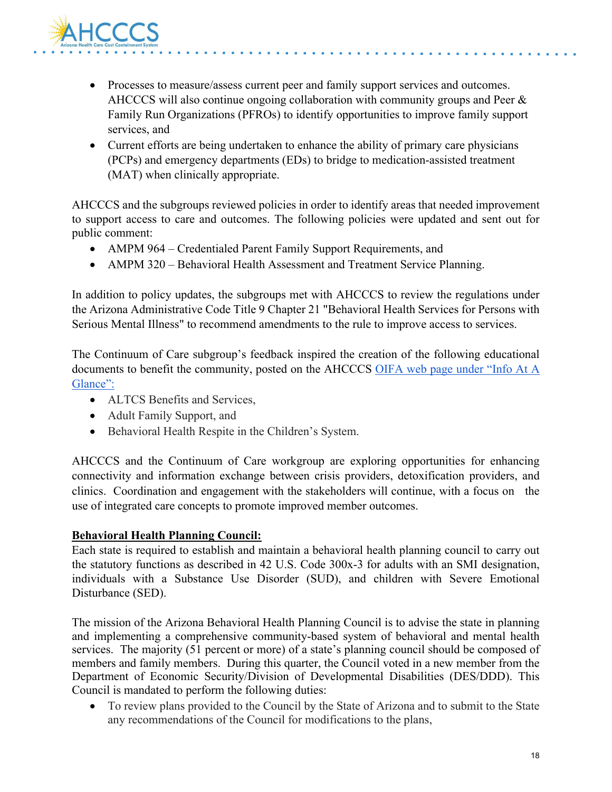

- Processes to measure/assess current peer and family support services and outcomes. AHCCCS will also continue ongoing collaboration with community groups and Peer & Family Run Organizations (PFROs) to identify opportunities to improve family support services, and
- Current efforts are being undertaken to enhance the ability of primary care physicians (PCPs) and emergency departments (EDs) to bridge to medication-assisted treatment (MAT) when clinically appropriate.

AHCCCS and the subgroups reviewed policies in order to identify areas that needed improvement to support access to care and outcomes. The following policies were updated and sent out for public comment:

- AMPM 964 Credentialed Parent Family Support Requirements, and
- AMPM 320 Behavioral Health Assessment and Treatment Service Planning.

In addition to policy updates, the subgroups met with AHCCCS to review the regulations under the Arizona Administrative Code Title 9 Chapter 21 "Behavioral Health Services for Persons with Serious Mental Illness" to recommend amendments to the rule to improve access to services.

The Continuum of Care subgroup's feedback inspired the creation of the following educational documents to benefit the community, posted on the AHCCCS OIFA web page under "Info At A Glance":

- ALTCS Benefits and Services,
- Adult Family Support, and
- Behavioral Health Respite in the Children's System.

AHCCCS and the Continuum of Care workgroup are exploring opportunities for enhancing connectivity and information exchange between crisis providers, detoxification providers, and clinics. Coordination and engagement with the stakeholders will continue, with a focus on the use of integrated care concepts to promote improved member outcomes.

#### **Behavioral Health Planning Council:**

Each state is required to establish and maintain a behavioral health planning council to carry out the statutory functions as described in 42 U.S. Code 300x-3 for adults with an SMI designation, individuals with a Substance Use Disorder (SUD), and children with Severe Emotional Disturbance (SED).

The mission of the Arizona Behavioral Health Planning Council is to advise the state in planning and implementing a comprehensive community-based system of behavioral and mental health services. The majority (51 percent or more) of a state's planning council should be composed of members and family members. During this quarter, the Council voted in a new member from the Department of Economic Security/Division of Developmental Disabilities (DES/DDD). This Council is mandated to perform the following duties:

• To review plans provided to the Council by the State of Arizona and to submit to the State any recommendations of the Council for modifications to the plans,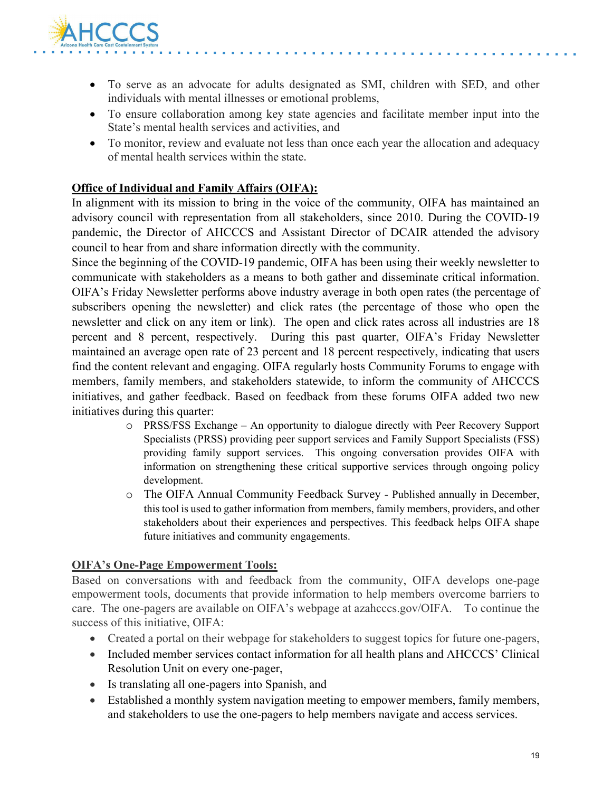

- To serve as an advocate for adults designated as SMI, children with SED, and other individuals with mental illnesses or emotional problems,
- To ensure collaboration among key state agencies and facilitate member input into the State's mental health services and activities, and
- To monitor, review and evaluate not less than once each year the allocation and adequacy of mental health services within the state.

#### **Office of Individual and Family Affairs (OIFA):**

In alignment with its mission to bring in the voice of the community, OIFA has maintained an advisory council with representation from all stakeholders, since 2010. During the COVID-19 pandemic, the Director of AHCCCS and Assistant Director of DCAIR attended the advisory council to hear from and share information directly with the community.

Since the beginning of the COVID-19 pandemic, OIFA has been using their weekly newsletter to communicate with stakeholders as a means to both gather and disseminate critical information. OIFA's Friday Newsletter performs above industry average in both open rates (the percentage of subscribers opening the newsletter) and click rates (the percentage of those who open the newsletter and click on any item or link). The open and click rates across all industries are 18 percent and 8 percent, respectively. During this past quarter, OIFA's Friday Newsletter maintained an average open rate of 23 percent and 18 percent respectively, indicating that users find the content relevant and engaging. OIFA regularly hosts Community Forums to engage with members, family members, and stakeholders statewide, to inform the community of AHCCCS initiatives, and gather feedback. Based on feedback from these forums OIFA added two new initiatives during this quarter:

- o PRSS/FSS Exchange An opportunity to dialogue directly with Peer Recovery Support Specialists (PRSS) providing peer support services and Family Support Specialists (FSS) providing family support services. This ongoing conversation provides OIFA with information on strengthening these critical supportive services through ongoing policy development.
- o The OIFA Annual Community Feedback Survey Published annually in December, this tool is used to gather information from members, family members, providers, and other stakeholders about their experiences and perspectives. This feedback helps OIFA shape future initiatives and community engagements.

#### **OIFA's One-Page Empowerment Tools:**

Based on conversations with and feedback from the community, OIFA develops one-page empowerment tools, documents that provide information to help members overcome barriers to care. The one-pagers are available on OIFA's webpage at azahcccs.gov/OIFA. To continue the success of this initiative, OIFA:

- Created a portal on their webpage for stakeholders to suggest topics for future one-pagers,
- Included member services contact information for all health plans and AHCCCS' Clinical Resolution Unit on every one-pager,
- Is translating all one-pagers into Spanish, and
- Established a monthly system navigation meeting to empower members, family members, and stakeholders to use the one-pagers to help members navigate and access services.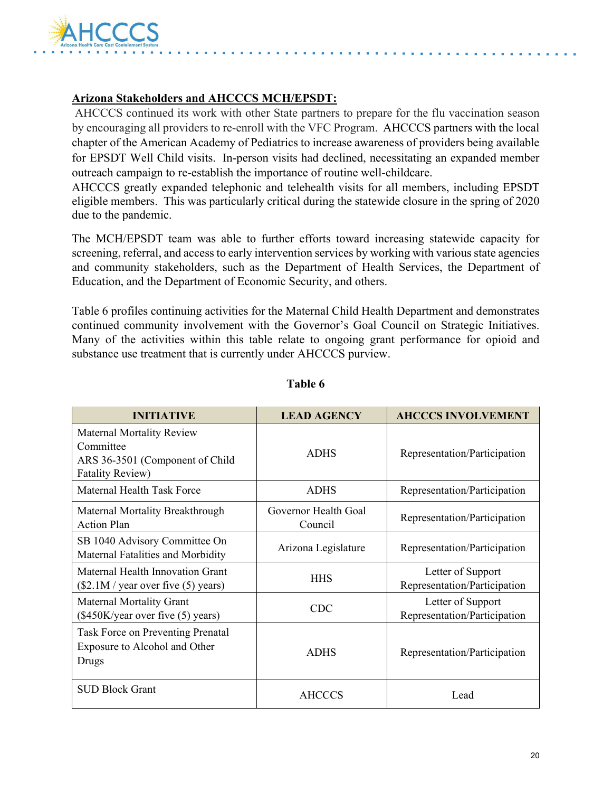

#### **Arizona Stakeholders and AHCCCS MCH/EPSDT:**

AHCCCS continued its work with other State partners to prepare for the flu vaccination season by encouraging all providers to re-enroll with the VFC Program. AHCCCS partners with the local chapter of the American Academy of Pediatrics to increase awareness of providers being available for EPSDT Well Child visits. In-person visits had declined, necessitating an expanded member outreach campaign to re-establish the importance of routine well-childcare.

AHCCCS greatly expanded telephonic and telehealth visits for all members, including EPSDT eligible members. This was particularly critical during the statewide closure in the spring of 2020 due to the pandemic.

The MCH/EPSDT team was able to further efforts toward increasing statewide capacity for screening, referral, and access to early intervention services by working with various state agencies and community stakeholders, such as the Department of Health Services, the Department of Education, and the Department of Economic Security, and others.

Table 6 profiles continuing activities for the Maternal Child Health Department and demonstrates continued community involvement with the Governor's Goal Council on Strategic Initiatives. Many of the activities within this table relate to ongoing grant performance for opioid and substance use treatment that is currently under AHCCCS purview.

| <b>INITIATIVE</b>                                                                                           | <b>LEAD AGENCY</b>              | <b>AHCCCS INVOLVEMENT</b>                         |
|-------------------------------------------------------------------------------------------------------------|---------------------------------|---------------------------------------------------|
| <b>Maternal Mortality Review</b><br>Committee<br>ARS 36-3501 (Component of Child<br><b>Fatality Review)</b> | <b>ADHS</b>                     | Representation/Participation                      |
| Maternal Health Task Force                                                                                  | <b>ADHS</b>                     | Representation/Participation                      |
| Maternal Mortality Breakthrough<br><b>Action Plan</b>                                                       | Governor Health Goal<br>Council | Representation/Participation                      |
| SB 1040 Advisory Committee On<br>Maternal Fatalities and Morbidity                                          | Arizona Legislature             | Representation/Participation                      |
| Maternal Health Innovation Grant<br>(\$2.1M / year over five (5) years)                                     | <b>HHS</b>                      | Letter of Support<br>Representation/Participation |
| <b>Maternal Mortality Grant</b><br>(\$450K/year over five (5) years)                                        | <b>CDC</b>                      | Letter of Support<br>Representation/Participation |
| Task Force on Preventing Prenatal<br>Exposure to Alcohol and Other<br>Drugs                                 | <b>ADHS</b>                     | Representation/Participation                      |
| <b>SUD Block Grant</b>                                                                                      | <b>AHCCCS</b>                   | Lead                                              |

#### **Table 6**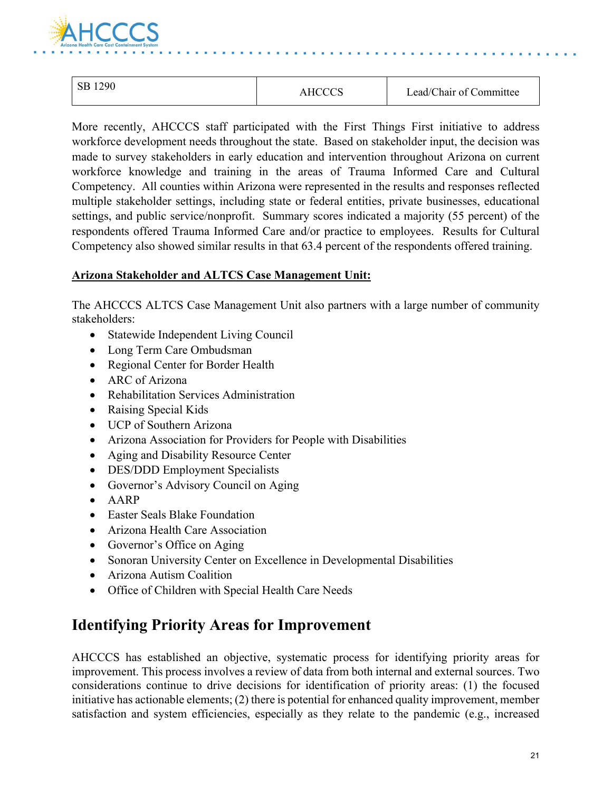

| 1290<br>SВ | AHCCCS | Lead/Chair of Committee |
|------------|--------|-------------------------|
|            |        |                         |

More recently, AHCCCS staff participated with the First Things First initiative to address workforce development needs throughout the state. Based on stakeholder input, the decision was made to survey stakeholders in early education and intervention throughout Arizona on current workforce knowledge and training in the areas of Trauma Informed Care and Cultural Competency. All counties within Arizona were represented in the results and responses reflected multiple stakeholder settings, including state or federal entities, private businesses, educational settings, and public service/nonprofit. Summary scores indicated a majority (55 percent) of the respondents offered Trauma Informed Care and/or practice to employees. Results for Cultural Competency also showed similar results in that 63.4 percent of the respondents offered training.

#### **Arizona Stakeholder and ALTCS Case Management Unit:**

The AHCCCS ALTCS Case Management Unit also partners with a large number of community stakeholders:

- Statewide Independent Living Council
- Long Term Care Ombudsman
- Regional Center for Border Health
- ARC of Arizona
- Rehabilitation Services Administration
- Raising Special Kids
- UCP of Southern Arizona
- Arizona Association for Providers for People with Disabilities
- Aging and Disability Resource Center
- DES/DDD Employment Specialists
- Governor's Advisory Council on Aging
- AARP
- Easter Seals Blake Foundation
- Arizona Health Care Association
- Governor's Office on Aging
- Sonoran University Center on Excellence in Developmental Disabilities
- Arizona Autism Coalition
- Office of Children with Special Health Care Needs

## **Identifying Priority Areas for Improvement**

AHCCCS has established an objective, systematic process for identifying priority areas for improvement. This process involves a review of data from both internal and external sources. Two considerations continue to drive decisions for identification of priority areas: (1) the focused initiative has actionable elements; (2) there is potential for enhanced quality improvement, member satisfaction and system efficiencies, especially as they relate to the pandemic (e.g., increased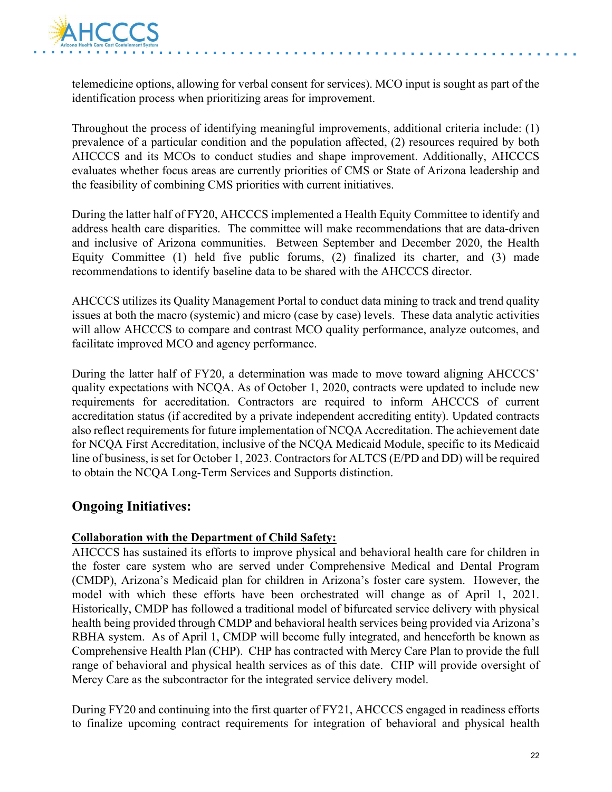

telemedicine options, allowing for verbal consent for services). MCO input is sought as part of the identification process when prioritizing areas for improvement.

Throughout the process of identifying meaningful improvements, additional criteria include: (1) prevalence of a particular condition and the population affected, (2) resources required by both AHCCCS and its MCOs to conduct studies and shape improvement. Additionally, AHCCCS evaluates whether focus areas are currently priorities of CMS or State of Arizona leadership and the feasibility of combining CMS priorities with current initiatives.

During the latter half of FY20, AHCCCS implemented a Health Equity Committee to identify and address health care disparities. The committee will make recommendations that are data-driven and inclusive of Arizona communities. Between September and December 2020, the Health Equity Committee (1) held five public forums, (2) finalized its charter, and (3) made recommendations to identify baseline data to be shared with the AHCCCS director.

AHCCCS utilizes its Quality Management Portal to conduct data mining to track and trend quality issues at both the macro (systemic) and micro (case by case) levels. These data analytic activities will allow AHCCCS to compare and contrast MCO quality performance, analyze outcomes, and facilitate improved MCO and agency performance.

During the latter half of FY20, a determination was made to move toward aligning AHCCCS' quality expectations with NCQA. As of October 1, 2020, contracts were updated to include new requirements for accreditation. Contractors are required to inform AHCCCS of current accreditation status (if accredited by a private independent accrediting entity). Updated contracts also reflect requirements for future implementation of NCQA Accreditation. The achievement date for NCQA First Accreditation, inclusive of the NCQA Medicaid Module, specific to its Medicaid line of business, is set for October 1, 2023. Contractors for ALTCS (E/PD and DD) will be required to obtain the NCQA Long-Term Services and Supports distinction.

## **Ongoing Initiatives:**

#### **Collaboration with the Department of Child Safety:**

AHCCCS has sustained its efforts to improve physical and behavioral health care for children in the foster care system who are served under Comprehensive Medical and Dental Program (CMDP), Arizona's Medicaid plan for children in Arizona's foster care system. However, the model with which these efforts have been orchestrated will change as of April 1, 2021. Historically, CMDP has followed a traditional model of bifurcated service delivery with physical health being provided through CMDP and behavioral health services being provided via Arizona's RBHA system. As of April 1, CMDP will become fully integrated, and henceforth be known as Comprehensive Health Plan (CHP). CHP has contracted with Mercy Care Plan to provide the full range of behavioral and physical health services as of this date. CHP will provide oversight of Mercy Care as the subcontractor for the integrated service delivery model.

During FY20 and continuing into the first quarter of FY21, AHCCCS engaged in readiness efforts to finalize upcoming contract requirements for integration of behavioral and physical health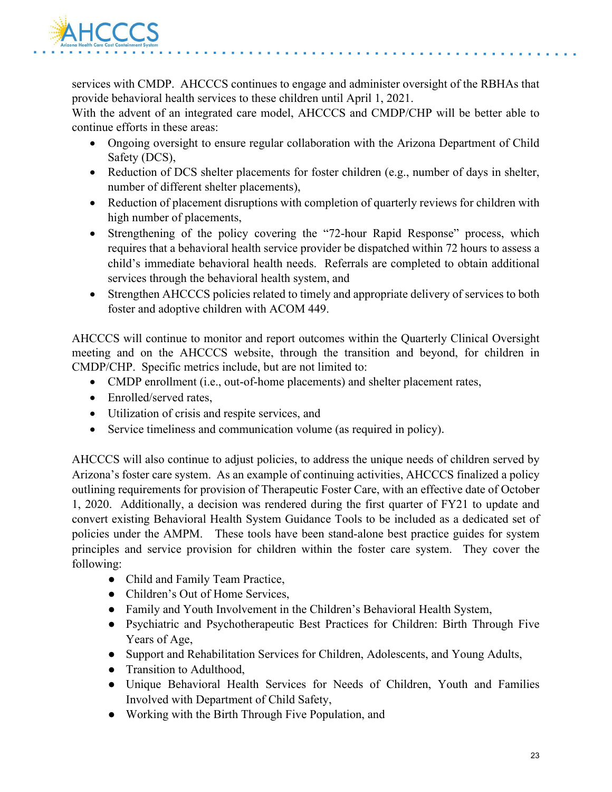

services with CMDP. AHCCCS continues to engage and administer oversight of the RBHAs that provide behavioral health services to these children until April 1, 2021.

With the advent of an integrated care model, AHCCCS and CMDP/CHP will be better able to continue efforts in these areas:

- Ongoing oversight to ensure regular collaboration with the Arizona Department of Child Safety (DCS),
- Reduction of DCS shelter placements for foster children (e.g., number of days in shelter, number of different shelter placements),
- Reduction of placement disruptions with completion of quarterly reviews for children with high number of placements,
- Strengthening of the policy covering the "72-hour Rapid Response" process, which requires that a behavioral health service provider be dispatched within 72 hours to assess a child's immediate behavioral health needs. Referrals are completed to obtain additional services through the behavioral health system, and
- Strengthen AHCCCS policies related to timely and appropriate delivery of services to both foster and adoptive children with ACOM 449.

AHCCCS will continue to monitor and report outcomes within the Quarterly Clinical Oversight meeting and on the AHCCCS website, through the transition and beyond, for children in CMDP/CHP. Specific metrics include, but are not limited to:

- CMDP enrollment (i.e., out-of-home placements) and shelter placement rates,
- Enrolled/served rates,
- Utilization of crisis and respite services, and
- Service timeliness and communication volume (as required in policy).

AHCCCS will also continue to adjust policies, to address the unique needs of children served by Arizona's foster care system. As an example of continuing activities, AHCCCS finalized a policy outlining requirements for provision of Therapeutic Foster Care, with an effective date of October 1, 2020. Additionally, a decision was rendered during the first quarter of FY21 to update and convert existing Behavioral Health System Guidance Tools to be included as a dedicated set of policies under the AMPM. These tools have been stand-alone best practice guides for system principles and service provision for children within the foster care system. They cover the following:

- Child and Family Team Practice,
- Children's Out of Home Services,
- Family and Youth Involvement in the Children's Behavioral Health System,
- Psychiatric and Psychotherapeutic Best Practices for Children: Birth Through Five Years of Age,
- Support and Rehabilitation Services for Children, Adolescents, and Young Adults,
- Transition to Adulthood,
- Unique Behavioral Health Services for Needs of Children, Youth and Families Involved with Department of Child Safety,
- Working with the Birth Through Five Population, and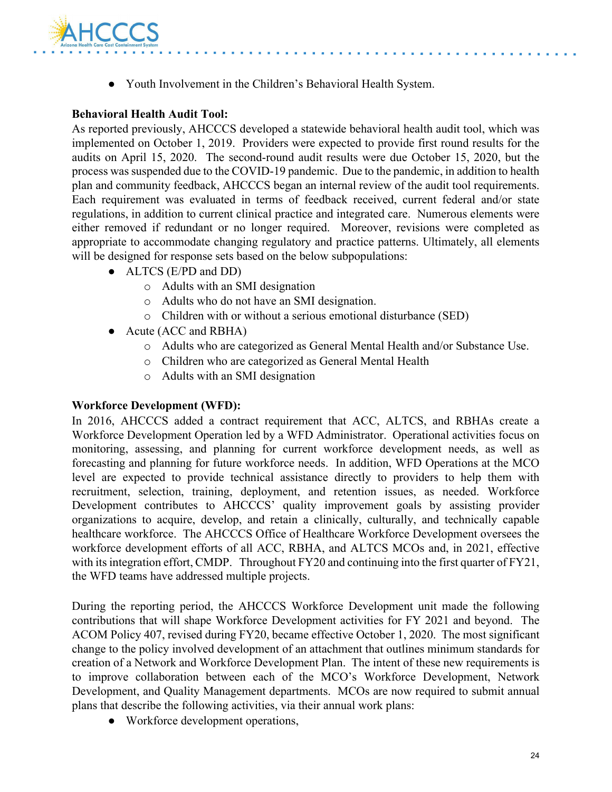

● Youth Involvement in the Children's Behavioral Health System.

#### **Behavioral Health Audit Tool:**

As reported previously, AHCCCS developed a statewide behavioral health audit tool, which was implemented on October 1, 2019. Providers were expected to provide first round results for the audits on April 15, 2020. The second-round audit results were due October 15, 2020, but the process was suspended due to the COVID-19 pandemic. Due to the pandemic, in addition to health plan and community feedback, AHCCCS began an internal review of the audit tool requirements. Each requirement was evaluated in terms of feedback received, current federal and/or state regulations, in addition to current clinical practice and integrated care. Numerous elements were either removed if redundant or no longer required. Moreover, revisions were completed as appropriate to accommodate changing regulatory and practice patterns. Ultimately, all elements will be designed for response sets based on the below subpopulations:

- ALTCS (E/PD and DD)
	- o Adults with an SMI designation
	- o Adults who do not have an SMI designation.
	- o Children with or without a serious emotional disturbance (SED)
- Acute (ACC and RBHA)
	- o Adults who are categorized as General Mental Health and/or Substance Use.
	- o Children who are categorized as General Mental Health
	- o Adults with an SMI designation

#### **Workforce Development (WFD):**

In 2016, AHCCCS added a contract requirement that ACC, ALTCS, and RBHAs create a Workforce Development Operation led by a WFD Administrator. Operational activities focus on monitoring, assessing, and planning for current workforce development needs, as well as forecasting and planning for future workforce needs. In addition, WFD Operations at the MCO level are expected to provide technical assistance directly to providers to help them with recruitment, selection, training, deployment, and retention issues, as needed. Workforce Development contributes to AHCCCS' quality improvement goals by assisting provider organizations to acquire, develop, and retain a clinically, culturally, and technically capable healthcare workforce. The AHCCCS Office of Healthcare Workforce Development oversees the workforce development efforts of all ACC, RBHA, and ALTCS MCOs and, in 2021, effective with its integration effort, CMDP. Throughout FY20 and continuing into the first quarter of FY21, the WFD teams have addressed multiple projects.

During the reporting period, the AHCCCS Workforce Development unit made the following contributions that will shape Workforce Development activities for FY 2021 and beyond. The ACOM Policy 407, revised during FY20, became effective October 1, 2020. The most significant change to the policy involved development of an attachment that outlines minimum standards for creation of a Network and Workforce Development Plan. The intent of these new requirements is to improve collaboration between each of the MCO's Workforce Development, Network Development, and Quality Management departments. MCOs are now required to submit annual plans that describe the following activities, via their annual work plans:

• Workforce development operations,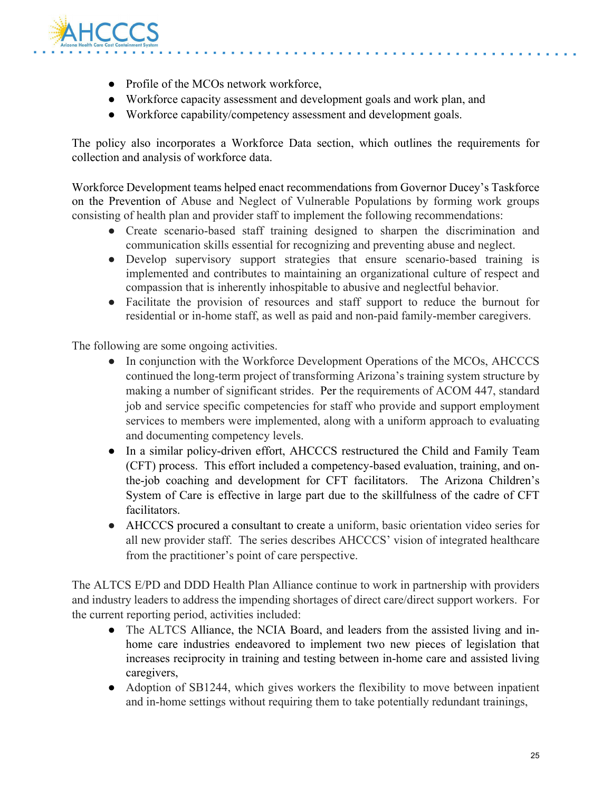

- Profile of the MCOs network workforce,
- Workforce capacity assessment and development goals and work plan, and
- Workforce capability/competency assessment and development goals.

The policy also incorporates a Workforce Data section, which outlines the requirements for collection and analysis of workforce data.

Workforce Development teams helped enact recommendations from Governor Ducey's Taskforce on the Prevention of Abuse and Neglect of Vulnerable Populations by forming work groups consisting of health plan and provider staff to implement the following recommendations:

- Create scenario-based staff training designed to sharpen the discrimination and communication skills essential for recognizing and preventing abuse and neglect.
- Develop supervisory support strategies that ensure scenario-based training is implemented and contributes to maintaining an organizational culture of respect and compassion that is inherently inhospitable to abusive and neglectful behavior.
- Facilitate the provision of resources and staff support to reduce the burnout for residential or in-home staff, as well as paid and non-paid family-member caregivers.

The following are some ongoing activities.

- In conjunction with the Workforce Development Operations of the MCOs, AHCCCS continued the long-term project of transforming Arizona's training system structure by making a number of significant strides. Per the requirements of ACOM 447, standard job and service specific competencies for staff who provide and support employment services to members were implemented, along with a uniform approach to evaluating and documenting competency levels.
- In a similar policy-driven effort, AHCCCS restructured the Child and Family Team (CFT) process. This effort included a competency-based evaluation, training, and onthe-job coaching and development for CFT facilitators. The Arizona Children's System of Care is effective in large part due to the skillfulness of the cadre of CFT facilitators.
- AHCCCS procured a consultant to create a uniform, basic orientation video series for all new provider staff. The series describes AHCCCS' vision of integrated healthcare from the practitioner's point of care perspective.

The ALTCS E/PD and DDD Health Plan Alliance continue to work in partnership with providers and industry leaders to address the impending shortages of direct care/direct support workers. For the current reporting period, activities included:

- The ALTCS Alliance, the NCIA Board, and leaders from the assisted living and inhome care industries endeavored to implement two new pieces of legislation that increases reciprocity in training and testing between in-home care and assisted living caregivers,
- Adoption of SB1244, which gives workers the flexibility to move between inpatient and in-home settings without requiring them to take potentially redundant trainings,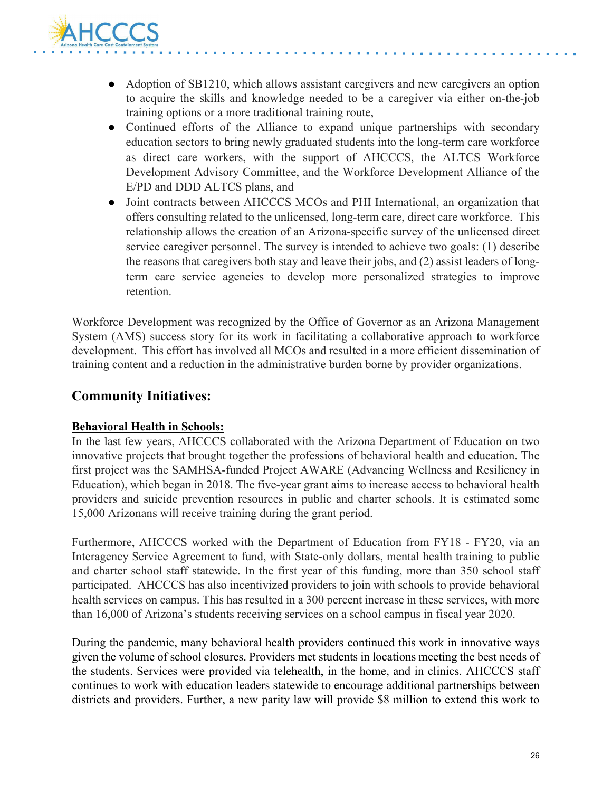

- Adoption of SB1210, which allows assistant caregivers and new caregivers an option to acquire the skills and knowledge needed to be a caregiver via either on-the-job training options or a more traditional training route,
- Continued efforts of the Alliance to expand unique partnerships with secondary education sectors to bring newly graduated students into the long-term care workforce as direct care workers, with the support of AHCCCS, the ALTCS Workforce Development Advisory Committee, and the Workforce Development Alliance of the E/PD and DDD ALTCS plans, and
- Joint contracts between AHCCCS MCOs and PHI International, an organization that offers consulting related to the unlicensed, long-term care, direct care workforce. This relationship allows the creation of an Arizona-specific survey of the unlicensed direct service caregiver personnel. The survey is intended to achieve two goals: (1) describe the reasons that caregivers both stay and leave their jobs, and (2) assist leaders of longterm care service agencies to develop more personalized strategies to improve retention.

Workforce Development was recognized by the Office of Governor as an Arizona Management System (AMS) success story for its work in facilitating a collaborative approach to workforce development. This effort has involved all MCOs and resulted in a more efficient dissemination of training content and a reduction in the administrative burden borne by provider organizations.

## **Community Initiatives:**

#### **Behavioral Health in Schools:**

In the last few years, AHCCCS collaborated with the Arizona Department of Education on two innovative projects that brought together the professions of behavioral health and education. The first project was the SAMHSA-funded Project AWARE (Advancing Wellness and Resiliency in Education), which began in 2018. The five-year grant aims to increase access to behavioral health providers and suicide prevention resources in public and charter schools. It is estimated some 15,000 Arizonans will receive training during the grant period.

Furthermore, AHCCCS worked with the Department of Education from FY18 - FY20, via an Interagency Service Agreement to fund, with State-only dollars, mental health training to public and charter school staff statewide. In the first year of this funding, more than 350 school staff participated. AHCCCS has also incentivized providers to join with schools to provide behavioral health services on campus. This has resulted in a 300 percent increase in these services, with more than 16,000 of Arizona's students receiving services on a school campus in fiscal year 2020.

During the pandemic, many behavioral health providers continued this work in innovative ways given the volume of school closures. Providers met students in locations meeting the best needs of the students. Services were provided via telehealth, in the home, and in clinics. AHCCCS staff continues to work with education leaders statewide to encourage additional partnerships between districts and providers. Further, a new parity law will provide \$8 million to extend this work to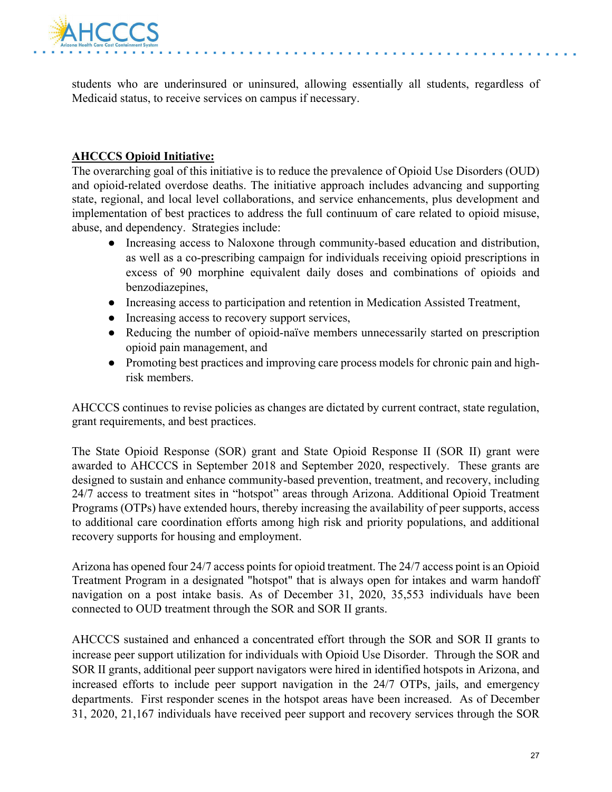

students who are underinsured or uninsured, allowing essentially all students, regardless of Medicaid status, to receive services on campus if necessary.

#### **AHCCCS Opioid Initiative:**

The overarching goal of this initiative is to reduce the prevalence of Opioid Use Disorders (OUD) and opioid-related overdose deaths. The initiative approach includes advancing and supporting state, regional, and local level collaborations, and service enhancements, plus development and implementation of best practices to address the full continuum of care related to opioid misuse, abuse, and dependency. Strategies include:

- Increasing access to Naloxone through community-based education and distribution, as well as a co-prescribing campaign for individuals receiving opioid prescriptions in excess of 90 morphine equivalent daily doses and combinations of opioids and benzodiazepines.
- Increasing access to participation and retention in Medication Assisted Treatment,
- Increasing access to recovery support services,
- Reducing the number of opioid-naïve members unnecessarily started on prescription opioid pain management, and
- Promoting best practices and improving care process models for chronic pain and highrisk members.

AHCCCS continues to revise policies as changes are dictated by current contract, state regulation, grant requirements, and best practices.

The State Opioid Response (SOR) grant and State Opioid Response II (SOR II) grant were awarded to AHCCCS in September 2018 and September 2020, respectively. These grants are designed to sustain and enhance community-based prevention, treatment, and recovery, including 24/7 access to treatment sites in "hotspot" areas through Arizona. Additional Opioid Treatment Programs (OTPs) have extended hours, thereby increasing the availability of peer supports, access to additional care coordination efforts among high risk and priority populations, and additional recovery supports for housing and employment.

Arizona has opened four 24/7 access points for opioid treatment. The 24/7 access point is an Opioid Treatment Program in a designated "hotspot" that is always open for intakes and warm handoff navigation on a post intake basis. As of December 31, 2020, 35,553 individuals have been connected to OUD treatment through the SOR and SOR II grants.

AHCCCS sustained and enhanced a concentrated effort through the SOR and SOR II grants to increase peer support utilization for individuals with Opioid Use Disorder. Through the SOR and SOR II grants, additional peer support navigators were hired in identified hotspots in Arizona, and increased efforts to include peer support navigation in the 24/7 OTPs, jails, and emergency departments. First responder scenes in the hotspot areas have been increased. As of December 31, 2020, 21,167 individuals have received peer support and recovery services through the SOR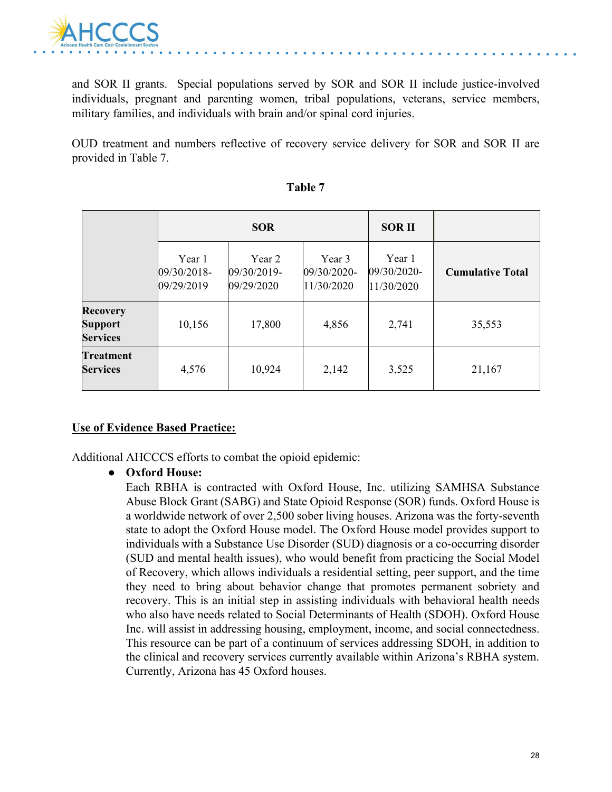

and SOR II grants. Special populations served by SOR and SOR II include justice-involved individuals, pregnant and parenting women, tribal populations, veterans, service members, military families, and individuals with brain and/or spinal cord injuries.

OUD treatment and numbers reflective of recovery service delivery for SOR and SOR II are provided in Table 7.

|                                               | <b>SOR</b>                          |                                     |                                     | <b>SORII</b>                        |                         |
|-----------------------------------------------|-------------------------------------|-------------------------------------|-------------------------------------|-------------------------------------|-------------------------|
|                                               | Year 1<br>09/30/2018-<br>09/29/2019 | Year 2<br>09/30/2019-<br>09/29/2020 | Year 3<br>09/30/2020-<br>11/30/2020 | Year 1<br>09/30/2020-<br>11/30/2020 | <b>Cumulative Total</b> |
| <b>Recovery</b><br>Support<br><b>Services</b> | 10,156                              | 17,800                              | 4,856                               | 2,741                               | 35,553                  |
| <b>Treatment</b><br><b>Services</b>           | 4,576                               | 10,924                              | 2,142                               | 3,525                               | 21,167                  |

| ı<br>L<br>L<br>٠ |  |
|------------------|--|
|                  |  |

#### **Use of Evidence Based Practice:**

Additional AHCCCS efforts to combat the opioid epidemic:

#### ● **Oxford House:**

Each RBHA is contracted with Oxford House, Inc. utilizing SAMHSA Substance Abuse Block Grant (SABG) and State Opioid Response (SOR) funds. Oxford House is a worldwide network of over 2,500 sober living houses. Arizona was the forty-seventh state to adopt the Oxford House model. The Oxford House model provides support to individuals with a Substance Use Disorder (SUD) diagnosis or a co-occurring disorder (SUD and mental health issues), who would benefit from practicing the Social Model of Recovery, which allows individuals a residential setting, peer support, and the time they need to bring about behavior change that promotes permanent sobriety and recovery. This is an initial step in assisting individuals with behavioral health needs who also have needs related to Social Determinants of Health (SDOH). Oxford House Inc. will assist in addressing housing, employment, income, and social connectedness. This resource can be part of a continuum of services addressing SDOH, in addition to the clinical and recovery services currently available within Arizona's RBHA system. Currently, Arizona has 45 Oxford houses.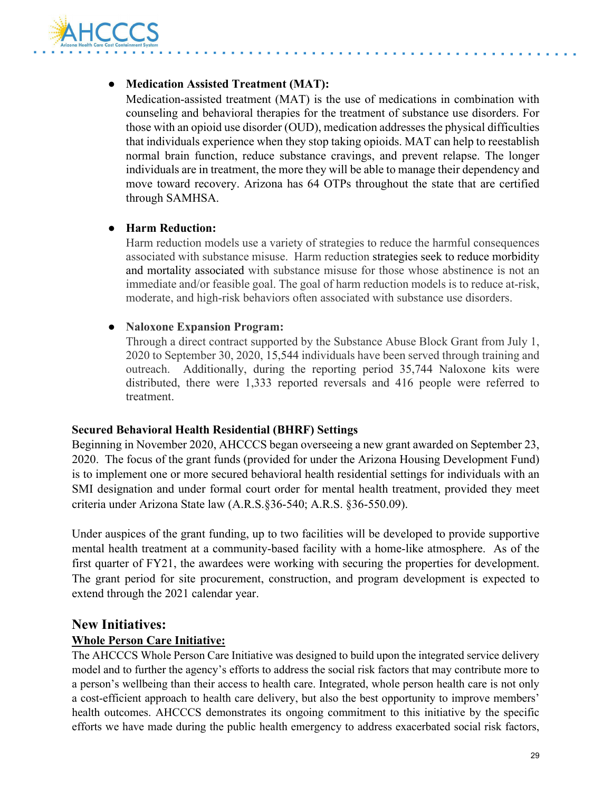

#### ● **Medication Assisted Treatment (MAT):**

Medication-assisted treatment (MAT) is the use of medications in combination with counseling and behavioral therapies for the treatment of substance use disorders. For those with an opioid use disorder (OUD), medication addresses the physical difficulties that individuals experience when they stop taking opioids. MAT can help to reestablish normal brain function, reduce substance cravings, and prevent relapse. The longer individuals are in treatment, the more they will be able to manage their dependency and move toward recovery. Arizona has 64 OTPs throughout the state that are certified through SAMHSA.

#### ● **Harm Reduction:**

Harm reduction models use a variety of strategies to reduce the harmful consequences associated with substance misuse. Harm reduction [st](https://www.ncbi.nlm.nih.gov/pmc/articles/PMC2528824/)rategies seek to reduce morbidity and mortality associated with substance misuse for those whose abstinence is not an immediate and/or feasible goal. The goal of harm reduction models is to reduce at-risk, moderate, and high-risk behaviors often associated with substance use disorders.

#### ● **Naloxone Expansion Program:**

Through a direct contract supported by the Substance Abuse Block Grant from July 1, 2020 to September 30, 2020, 15,544 individuals have been served through training and outreach. Additionally, during the reporting period 35,744 Naloxone kits were distributed, there were 1,333 reported reversals and 416 people were referred to treatment.

#### **Secured Behavioral Health Residential (BHRF) Settings**

Beginning in November 2020, AHCCCS began overseeing a new grant awarded on September 23, 2020. The focus of the grant funds (provided for under the Arizona Housing Development Fund) is to implement one or more secured behavioral health residential settings for individuals with an SMI designation and under formal court order for mental health treatment, provided they meet criteria under Arizona State law (A.R.S.§36-540; A.R.S. §36-550.09).

Under auspices of the grant funding, up to two facilities will be developed to provide supportive mental health treatment at a community-based facility with a home-like atmosphere. As of the first quarter of FY21, the awardees were working with securing the properties for development. The grant period for site procurement, construction, and program development is expected to extend through the 2021 calendar year.

### **New Initiatives:**

#### **Whole Person Care Initiative:**

The AHCCCS Whole Person Care Initiative was designed to build upon the integrated service delivery model and to further the agency's efforts to address the social risk factors that may contribute more to a person's wellbeing than their access to health care. Integrated, whole person health care is not only a cost-efficient approach to health care delivery, but also the best opportunity to improve members' health outcomes. AHCCCS demonstrates its ongoing commitment to this initiative by the specific efforts we have made during the public health emergency to address exacerbated social risk factors,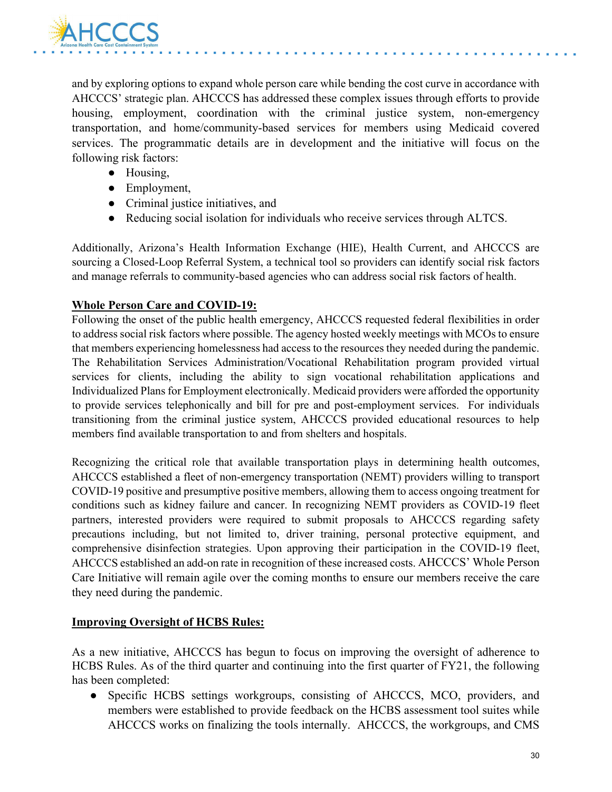

and by exploring options to expand whole person care while bending the cost curve in accordance with AHCCCS' strategic plan. AHCCCS has addressed these complex issues through efforts to provide housing, employment, coordination with the criminal justice system, non-emergency transportation, and home/community-based services for members using Medicaid covered services. The programmatic details are in development and the initiative will focus on the following risk factors:

- Housing,
- Employment,
- Criminal justice initiatives, and
- Reducing social isolation for individuals who receive services through ALTCS.

Additionally, Arizona's Health Information Exchange (HIE), Health Current, and AHCCCS are sourcing a Closed-Loop Referral System, a technical tool so providers can identify social risk factors and manage referrals to community-based agencies who can address social risk factors of health.

#### **Whole Person Care and COVID-19:**

Following the onset of the public health emergency, AHCCCS requested federal flexibilities in order to address social risk factors where possible. The agency hosted weekly meetings with MCOs to ensure that members experiencing homelessness had access to the resources they needed during the pandemic. The Rehabilitation Services Administration/Vocational Rehabilitation program provided virtual services for clients, including the ability to sign vocational rehabilitation applications and Individualized Plans for Employment electronically. Medicaid providers were afforded the opportunity to provide services telephonically and bill for pre and post-employment services. For individuals transitioning from the criminal justice system, AHCCCS provided educational resources to help members find available transportation to and from shelters and hospitals.

Recognizing the critical role that available transportation plays in determining health outcomes, AHCCCS established a fleet of non-emergency transportation (NEMT) providers willing to transport COVID-19 positive and presumptive positive members, allowing them to access ongoing treatment for conditions such as kidney failure and cancer. In recognizing NEMT providers as COVID-19 fleet partners, interested providers were required to submit proposals to AHCCCS regarding safety precautions including, but not limited to, driver training, personal protective equipment, and comprehensive disinfection strategies. Upon approving their participation in the COVID-19 fleet, AHCCCS established an add-on rate in recognition of these increased costs. AHCCCS' Whole Person Care Initiative will remain agile over the coming months to ensure our members receive the care they need during the pandemic.

#### **Improving Oversight of HCBS Rules:**

As a new initiative, AHCCCS has begun to focus on improving the oversight of adherence to HCBS Rules. As of the third quarter and continuing into the first quarter of FY21, the following has been completed:

● Specific HCBS settings workgroups, consisting of AHCCCS, MCO, providers, and members were established to provide feedback on the HCBS assessment tool suites while AHCCCS works on finalizing the tools internally. AHCCCS, the workgroups, and CMS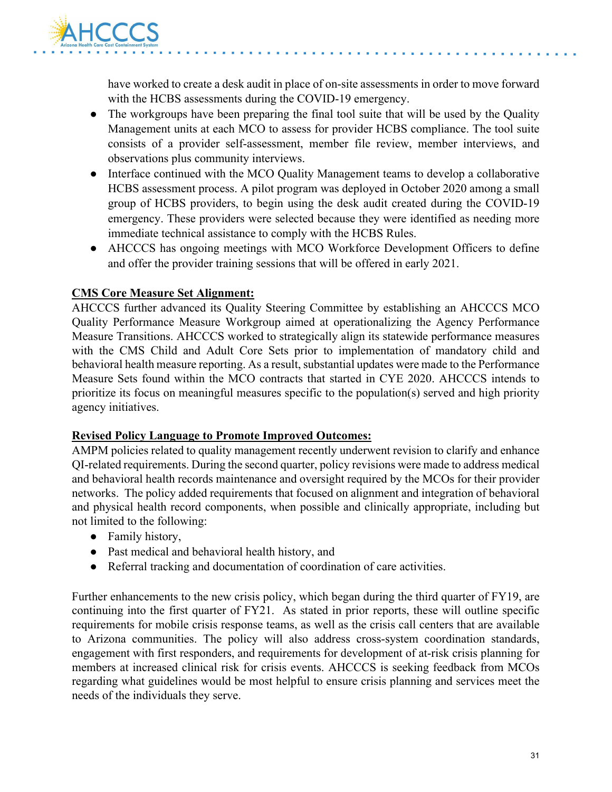

have worked to create a desk audit in place of on-site assessments in order to move forward with the HCBS assessments during the COVID-19 emergency.

- The workgroups have been preparing the final tool suite that will be used by the Quality Management units at each MCO to assess for provider HCBS compliance. The tool suite consists of a provider self-assessment, member file review, member interviews, and observations plus community interviews.
- Interface continued with the MCO Quality Management teams to develop a collaborative HCBS assessment process. A pilot program was deployed in October 2020 among a small group of HCBS providers, to begin using the desk audit created during the COVID-19 emergency. These providers were selected because they were identified as needing more immediate technical assistance to comply with the HCBS Rules.
- AHCCCS has ongoing meetings with MCO Workforce Development Officers to define and offer the provider training sessions that will be offered in early 2021.

#### **CMS Core Measure Set Alignment:**

AHCCCS further advanced its Quality Steering Committee by establishing an AHCCCS MCO Quality Performance Measure Workgroup aimed at operationalizing the Agency Performance Measure Transitions. AHCCCS worked to strategically align its statewide performance measures with the CMS Child and Adult Core Sets prior to implementation of mandatory child and behavioral health measure reporting. As a result, substantial updates were made to the Performance Measure Sets found within the MCO contracts that started in CYE 2020. AHCCCS intends to prioritize its focus on meaningful measures specific to the population(s) served and high priority agency initiatives.

#### **Revised Policy Language to Promote Improved Outcomes:**

AMPM policies related to quality management recently underwent revision to clarify and enhance QI-related requirements. During the second quarter, policy revisions were made to address medical and behavioral health records maintenance and oversight required by the MCOs for their provider networks. The policy added requirements that focused on alignment and integration of behavioral and physical health record components, when possible and clinically appropriate, including but not limited to the following:

- Family history,
- Past medical and behavioral health history, and
- Referral tracking and documentation of coordination of care activities.

Further enhancements to the new crisis policy, which began during the third quarter of FY19, are continuing into the first quarter of FY21. As stated in prior reports, these will outline specific requirements for mobile crisis response teams, as well as the crisis call centers that are available to Arizona communities. The policy will also address cross-system coordination standards, engagement with first responders, and requirements for development of at-risk crisis planning for members at increased clinical risk for crisis events. AHCCCS is seeking feedback from MCOs regarding what guidelines would be most helpful to ensure crisis planning and services meet the needs of the individuals they serve.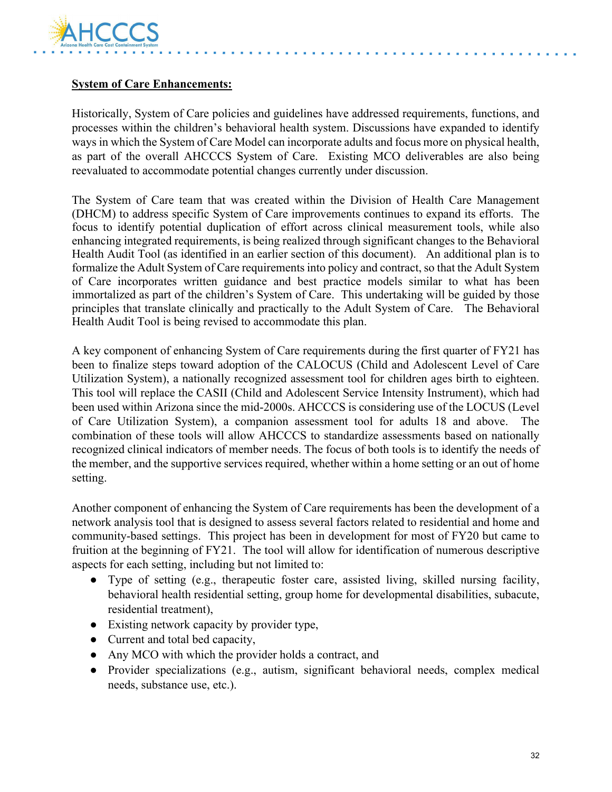

#### **System of Care Enhancements:**

Historically, System of Care policies and guidelines have addressed requirements, functions, and processes within the children's behavioral health system. Discussions have expanded to identify ways in which the System of Care Model can incorporate adults and focus more on physical health, as part of the overall AHCCCS System of Care. Existing MCO deliverables are also being reevaluated to accommodate potential changes currently under discussion.

The System of Care team that was created within the Division of Health Care Management (DHCM) to address specific System of Care improvements continues to expand its efforts. The focus to identify potential duplication of effort across clinical measurement tools, while also enhancing integrated requirements, is being realized through significant changes to the Behavioral Health Audit Tool (as identified in an earlier section of this document). An additional plan is to formalize the Adult System of Care requirements into policy and contract, so that the Adult System of Care incorporates written guidance and best practice models similar to what has been immortalized as part of the children's System of Care. This undertaking will be guided by those principles that translate clinically and practically to the Adult System of Care. The Behavioral Health Audit Tool is being revised to accommodate this plan.

A key component of enhancing System of Care requirements during the first quarter of FY21 has been to finalize steps toward adoption of the CALOCUS (Child and Adolescent Level of Care Utilization System), a nationally recognized assessment tool for children ages birth to eighteen. This tool will replace the CASII (Child and Adolescent Service Intensity Instrument), which had been used within Arizona since the mid-2000s. AHCCCS is considering use of the LOCUS (Level of Care Utilization System), a companion assessment tool for adults 18 and above. The combination of these tools will allow AHCCCS to standardize assessments based on nationally recognized clinical indicators of member needs. The focus of both tools is to identify the needs of the member, and the supportive services required, whether within a home setting or an out of home setting.

Another component of enhancing the System of Care requirements has been the development of a network analysis tool that is designed to assess several factors related to residential and home and community-based settings. This project has been in development for most of FY20 but came to fruition at the beginning of FY21. The tool will allow for identification of numerous descriptive aspects for each setting, including but not limited to:

- Type of setting (e.g., therapeutic foster care, assisted living, skilled nursing facility, behavioral health residential setting, group home for developmental disabilities, subacute, residential treatment),
- Existing network capacity by provider type,
- Current and total bed capacity,
- Any MCO with which the provider holds a contract, and
- Provider specializations (e.g., autism, significant behavioral needs, complex medical needs, substance use, etc.).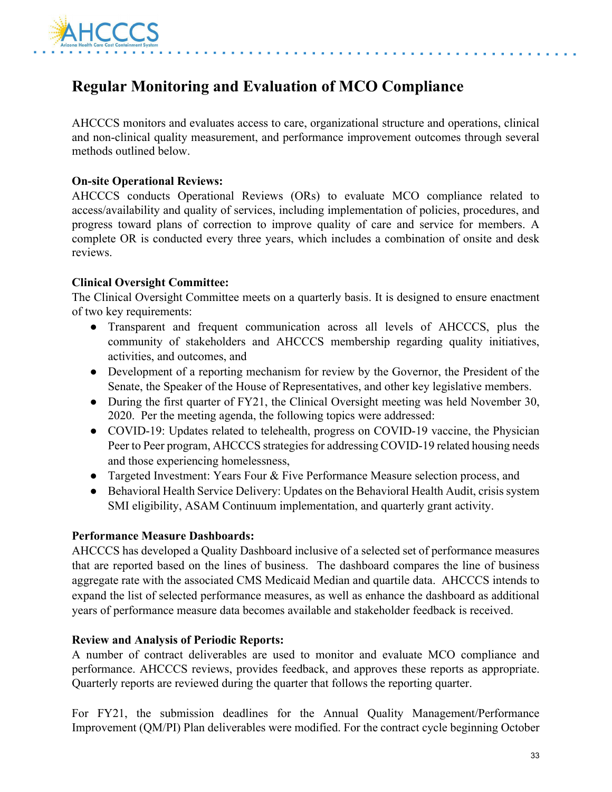

## **Regular Monitoring and Evaluation of MCO Compliance**

AHCCCS monitors and evaluates access to care, organizational structure and operations, clinical and non-clinical quality measurement, and performance improvement outcomes through several methods outlined below.

#### **On-site Operational Reviews:**

AHCCCS conducts Operational Reviews (ORs) to evaluate MCO compliance related to access/availability and quality of services, including implementation of policies, procedures, and progress toward plans of correction to improve quality of care and service for members. A complete OR is conducted every three years, which includes a combination of onsite and desk reviews.

#### **Clinical Oversight Committee:**

The Clinical Oversight Committee meets on a quarterly basis. It is designed to ensure enactment of two key requirements:

- Transparent and frequent communication across all levels of AHCCCS, plus the community of stakeholders and AHCCCS membership regarding quality initiatives, activities, and outcomes, and
- Development of a reporting mechanism for review by the Governor, the President of the Senate, the Speaker of the House of Representatives, and other key legislative members.
- During the first quarter of FY21, the Clinical Oversight meeting was held November 30, 2020. Per the meeting agenda, the following topics were addressed:
- COVID-19: Updates related to telehealth, progress on COVID-19 vaccine, the Physician Peer to Peer program, AHCCCS strategies for addressing COVID-19 related housing needs and those experiencing homelessness,
- Targeted Investment: Years Four & Five Performance Measure selection process, and
- Behavioral Health Service Delivery: Updates on the Behavioral Health Audit, crisis system SMI eligibility, ASAM Continuum implementation, and quarterly grant activity.

#### **Performance Measure Dashboards:**

AHCCCS has developed a Quality Dashboard inclusive of a selected set of performance measures that are reported based on the lines of business. The dashboard compares the line of business aggregate rate with the associated CMS Medicaid Median and quartile data. AHCCCS intends to expand the list of selected performance measures, as well as enhance the dashboard as additional years of performance measure data becomes available and stakeholder feedback is received.

#### **Review and Analysis of Periodic Reports:**

A number of contract deliverables are used to monitor and evaluate MCO compliance and performance. AHCCCS reviews, provides feedback, and approves these reports as appropriate. Quarterly reports are reviewed during the quarter that follows the reporting quarter.

For FY21, the submission deadlines for the Annual Quality Management/Performance Improvement (QM/PI) Plan deliverables were modified. For the contract cycle beginning October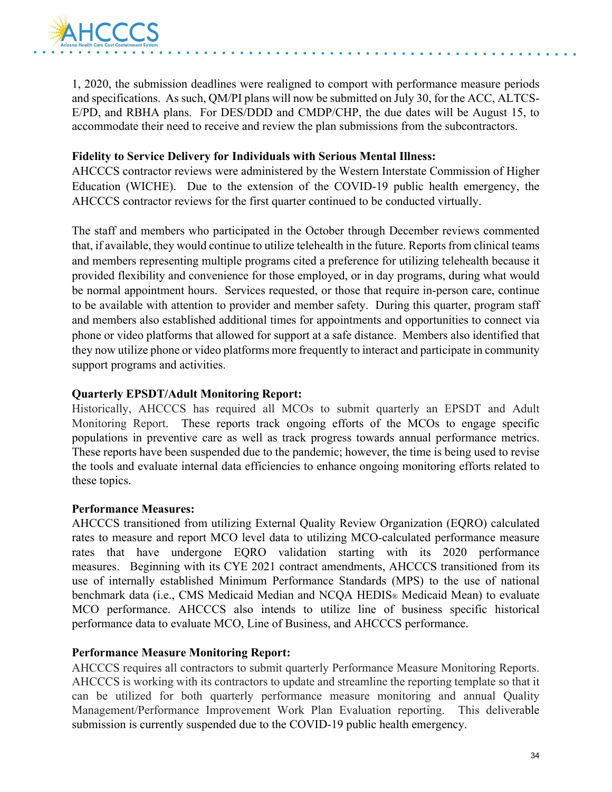

1, 2020, the submission deadlines were realigned to comport with performance measure periods and specifications. As such, QM/PI plans will now be submitted on July 30, for the ACC, ALTCS-E/PD, and RBHA plans. For DES/DDD and CMDP/CHP, the due dates will be August 15, to accommodate their need to receive and review the plan submissions from the subcontractors.

#### **Fidelity to Service Delivery for Individuals with Serious Mental Illness:**

AHCCCS contractor reviews were administered by the Western Interstate Commission of Higher Education (WICHE). Due to the extension of the COVID-19 public health emergency, the AHCCCS contractor reviews for the first quarter continued to be conducted virtually.

The staff and members who participated in the October through December reviews commented that, if available, they would continue to utilize telehealth in the future. Reports from clinical teams and members representing multiple programs cited a preference for utilizing telehealth because it provided flexibility and convenience for those employed, or in day programs, during what would be normal appointment hours. Services requested, or those that require in-person care, continue to be available with attention to provider and member safety. During this quarter, program staff and members also established additional times for appointments and opportunities to connect via phone or video platforms that allowed for support at a safe distance. Members also identified that they now utilize phone or video platforms more frequently to interact and participate in community support programs and activities.

#### **Quarterly EPSDT/Adult Monitoring Report:**

Historically, AHCCCS has required all MCOs to submit quarterly an EPSDT and Adult Monitoring Report. These reports track ongoing efforts of the MCOs to engage specific populations in preventive care as well as track progress towards annual performance metrics. These reports have been suspended due to the pandemic; however, the time is being used to revise the tools and evaluate internal data efficiencies to enhance ongoing monitoring efforts related to these topics.

#### **Performance Measures:**

AHCCCS transitioned from utilizing External Quality Review Organization (EQRO) calculated rates to measure and report MCO level data to utilizing MCO-calculated performance measure rates that have undergone EQRO validation starting with its 2020 performance measures. Beginning with its CYE 2021 contract amendments, AHCCCS transitioned from its use of internally established Minimum Performance Standards (MPS) to the use of national benchmark data (i.e., CMS Medicaid Median and NCQA HEDIS® Medicaid Mean) to evaluate MCO performance. AHCCCS also intends to utilize line of business specific historical performance data to evaluate MCO, Line of Business, and AHCCCS performance.

#### **Performance Measure Monitoring Report:**

AHCCCS requires all contractors to submit quarterly Performance Measure Monitoring Reports. AHCCCS is working with its contractors to update and streamline the reporting template so that it can be utilized for both quarterly performance measure monitoring and annual Quality Management/Performance Improvement Work Plan Evaluation reporting. This deliverable submission is currently suspended due to the COVID-19 public health emergency.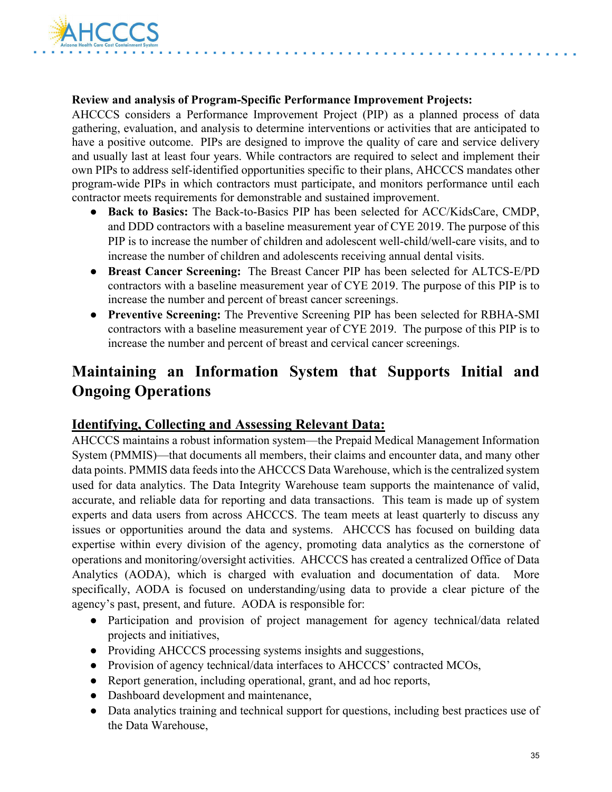

#### **Review and analysis of Program-Specific Performance Improvement Projects:**

AHCCCS considers a Performance Improvement Project (PIP) as a planned process of data gathering, evaluation, and analysis to determine interventions or activities that are anticipated to have a positive outcome. PIPs are designed to improve the quality of care and service delivery and usually last at least four years. While contractors are required to select and implement their own PIPs to address self-identified opportunities specific to their plans, AHCCCS mandates other program-wide PIPs in which contractors must participate, and monitors performance until each contractor meets requirements for demonstrable and sustained improvement.

- **Back to Basics:** The Back-to-Basics PIP has been selected for ACC/KidsCare, CMDP, and DDD contractors with a baseline measurement year of CYE 2019. The purpose of this PIP is to increase the number of children and adolescent well-child/well-care visits, and to increase the number of children and adolescents receiving annual dental visits.
- **Breast Cancer Screening:** The Breast Cancer PIP has been selected for ALTCS-E/PD contractors with a baseline measurement year of CYE 2019. The purpose of this PIP is to increase the number and percent of breast cancer screenings.
- **Preventive Screening:** The Preventive Screening PIP has been selected for RBHA-SMI contractors with a baseline measurement year of CYE 2019. The purpose of this PIP is to increase the number and percent of breast and cervical cancer screenings.

## **Maintaining an Information System that Supports Initial and Ongoing Operations**

### **Identifying, Collecting and Assessing Relevant Data:**

AHCCCS maintains a robust information system—the Prepaid Medical Management Information System (PMMIS)—that documents all members, their claims and encounter data, and many other data points. PMMIS data feeds into the AHCCCS Data Warehouse, which is the centralized system used for data analytics. The Data Integrity Warehouse team supports the maintenance of valid, accurate, and reliable data for reporting and data transactions. This team is made up of system experts and data users from across AHCCCS. The team meets at least quarterly to discuss any issues or opportunities around the data and systems. AHCCCS has focused on building data expertise within every division of the agency, promoting data analytics as the cornerstone of operations and monitoring/oversight activities. AHCCCS has created a centralized Office of Data Analytics (AODA), which is charged with evaluation and documentation of data. More specifically, AODA is focused on understanding/using data to provide a clear picture of the agency's past, present, and future. AODA is responsible for:

- Participation and provision of project management for agency technical/data related projects and initiatives,
- Providing AHCCCS processing systems insights and suggestions,
- Provision of agency technical/data interfaces to AHCCCS' contracted MCOs,
- Report generation, including operational, grant, and ad hoc reports,
- Dashboard development and maintenance,
- Data analytics training and technical support for questions, including best practices use of the Data Warehouse,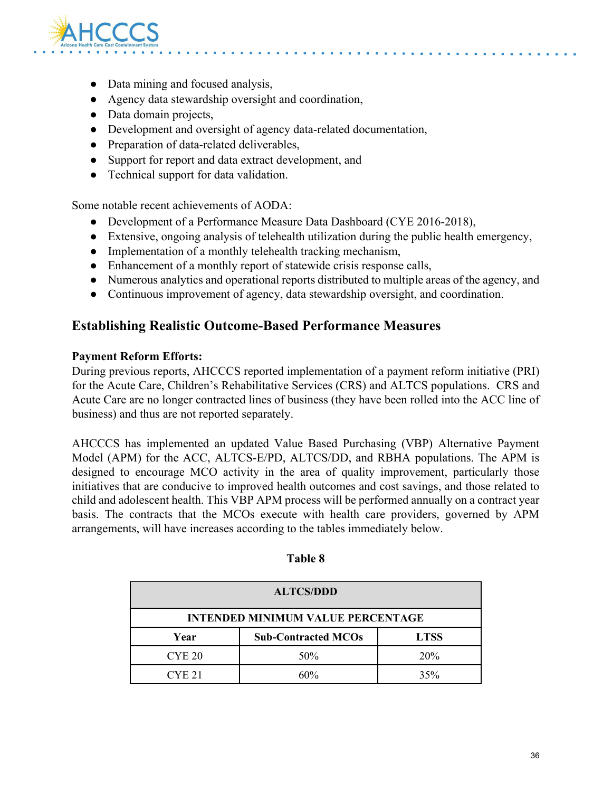

- Data mining and focused analysis,
- Agency data stewardship oversight and coordination,
- Data domain projects,
- Development and oversight of agency data-related documentation,
- Preparation of data-related deliverables,
- Support for report and data extract development, and
- Technical support for data validation.

Some notable recent achievements of AODA:

- Development of a Performance Measure Data Dashboard (CYE 2016-2018),
- Extensive, ongoing analysis of telehealth utilization during the public health emergency,
- Implementation of a monthly telehealth tracking mechanism,
- Enhancement of a monthly report of statewide crisis response calls,
- Numerous analytics and operational reports distributed to multiple areas of the agency, and
- Continuous improvement of agency, data stewardship oversight, and coordination.

### **Establishing Realistic Outcome-Based Performance Measures**

#### **Payment Reform Efforts:**

During previous reports, AHCCCS reported implementation of a payment reform initiative (PRI) for the Acute Care, Children's Rehabilitative Services (CRS) and ALTCS populations. CRS and Acute Care are no longer contracted lines of business (they have been rolled into the ACC line of business) and thus are not reported separately.

AHCCCS has implemented an updated Value Based Purchasing (VBP) Alternative Payment Model (APM) for the ACC, ALTCS-E/PD, ALTCS/DD, and RBHA populations. The APM is designed to encourage MCO activity in the area of quality improvement, particularly those initiatives that are conducive to improved health outcomes and cost savings, and those related to child and adolescent health. This VBP APM process will be performed annually on a contract year basis. The contracts that the MCOs execute with health care providers, governed by APM arrangements, will have increases according to the tables immediately below.

| <b>ALTCS/DDD</b>                         |                            |             |  |  |
|------------------------------------------|----------------------------|-------------|--|--|
| <b>INTENDED MINIMUM VALUE PERCENTAGE</b> |                            |             |  |  |
| Year                                     | <b>Sub-Contracted MCOs</b> | <b>LTSS</b> |  |  |
| CYE <sub>20</sub>                        | 50%                        | 20%         |  |  |
| CYE <sub>21</sub>                        | 60%                        | 35%         |  |  |

#### **Table 8**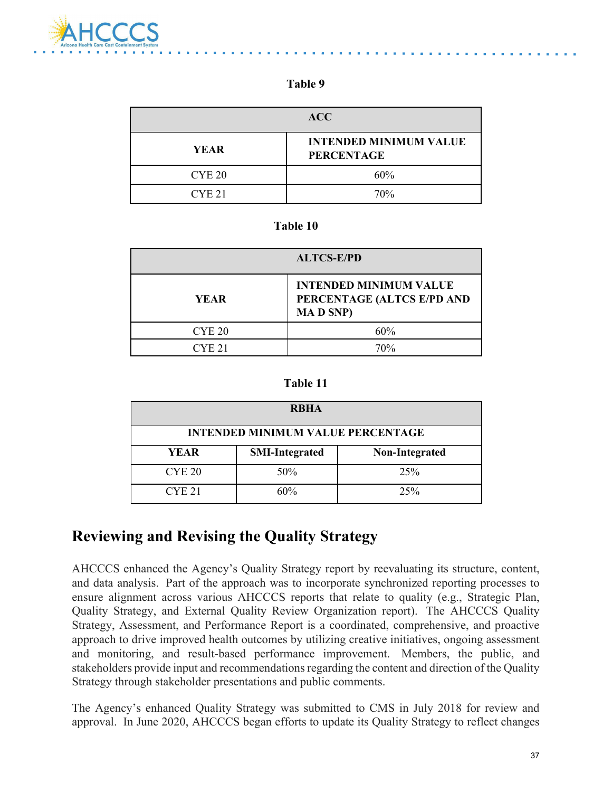

#### **Table 9**

| <b>ACC</b>    |                                                    |
|---------------|----------------------------------------------------|
| <b>YEAR</b>   | <b>INTENDED MINIMUM VALUE</b><br><b>PERCENTAGE</b> |
| CYE 20        | 60%                                                |
| <b>CYE 21</b> | 70%                                                |

#### **Table 10**

| <b>ALTCS-E/PD</b> |                                                                                 |  |
|-------------------|---------------------------------------------------------------------------------|--|
| <b>YEAR</b>       | <b>INTENDED MINIMUM VALUE</b><br>PERCENTAGE (ALTCS E/PD AND<br><b>MAD SNP</b> ) |  |
| CYE <sub>20</sub> | 60%                                                                             |  |
| CYF.21            | 70%                                                                             |  |

#### **Table 11**

| <b>RBHA</b>                              |                       |                |  |  |  |
|------------------------------------------|-----------------------|----------------|--|--|--|
| <b>INTENDED MINIMUM VALUE PERCENTAGE</b> |                       |                |  |  |  |
| <b>YEAR</b>                              | <b>SMI-Integrated</b> | Non-Integrated |  |  |  |
| <b>CYE 20</b>                            | 50%                   | 25%            |  |  |  |
| CYE <sub>21</sub>                        | 60%                   | 25%            |  |  |  |

## **Reviewing and Revising the Quality Strategy**

AHCCCS enhanced the Agency's Quality Strategy report by reevaluating its structure, content, and data analysis. Part of the approach was to incorporate synchronized reporting processes to ensure alignment across various AHCCCS reports that relate to quality (e.g., Strategic Plan, Quality Strategy, and External Quality Review Organization report). The AHCCCS Quality Strategy, Assessment, and Performance Report is a coordinated, comprehensive, and proactive approach to drive improved health outcomes by utilizing creative initiatives, ongoing assessment and monitoring, and result-based performance improvement. Members, the public, and stakeholders provide input and recommendations regarding the content and direction of the Quality Strategy through stakeholder presentations and public comments.

The Agency's enhanced Quality Strategy was submitted to CMS in July 2018 for review and approval. In June 2020, AHCCCS began efforts to update its Quality Strategy to reflect changes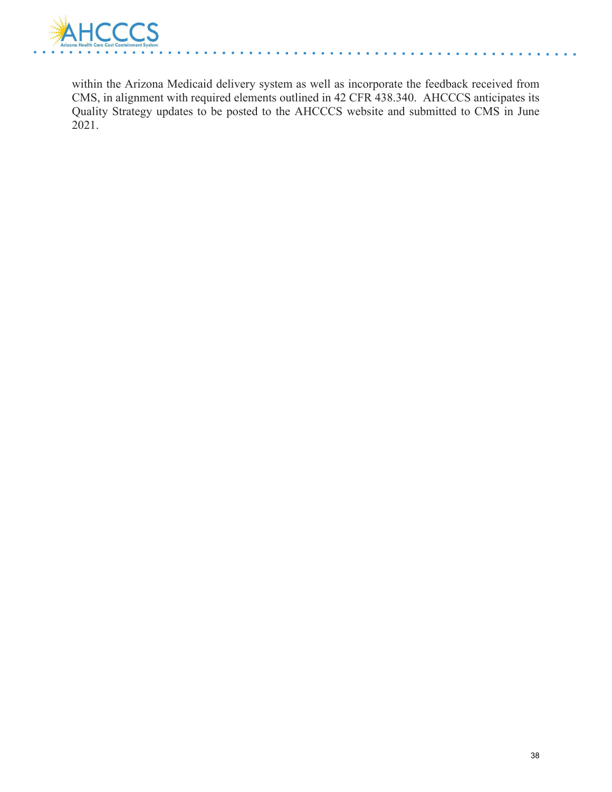

within the Arizona Medicaid delivery system as well as incorporate the feedback received from CMS, in alignment with required elements outlined in 42 CFR 438.340. AHCCCS anticipates its Quality Strategy updates to be posted to the AHCCCS website and submitted to CMS in June 2021.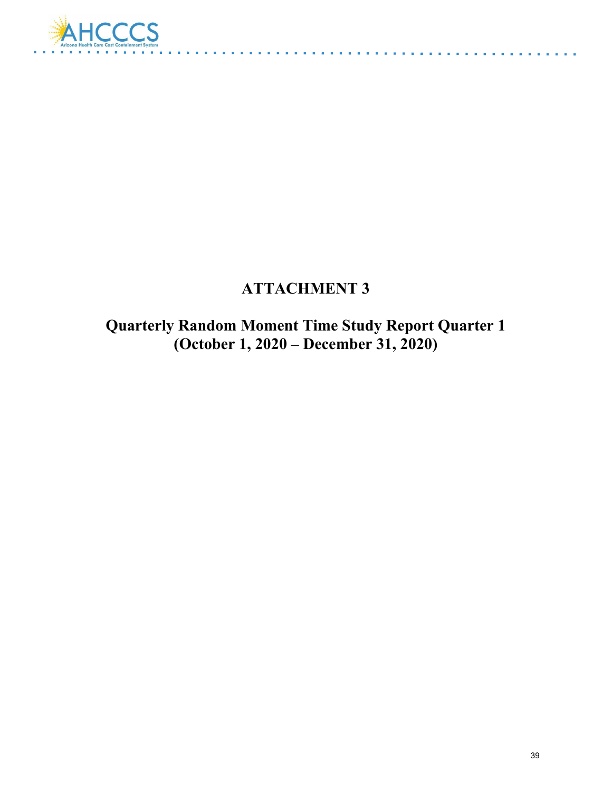

## **ATTACHMENT 3**

والمتحدث والمتحدث

**Quarterly Random Moment Time Study Report Quarter 1 (October 1, 2020 – December 31, 2020)**